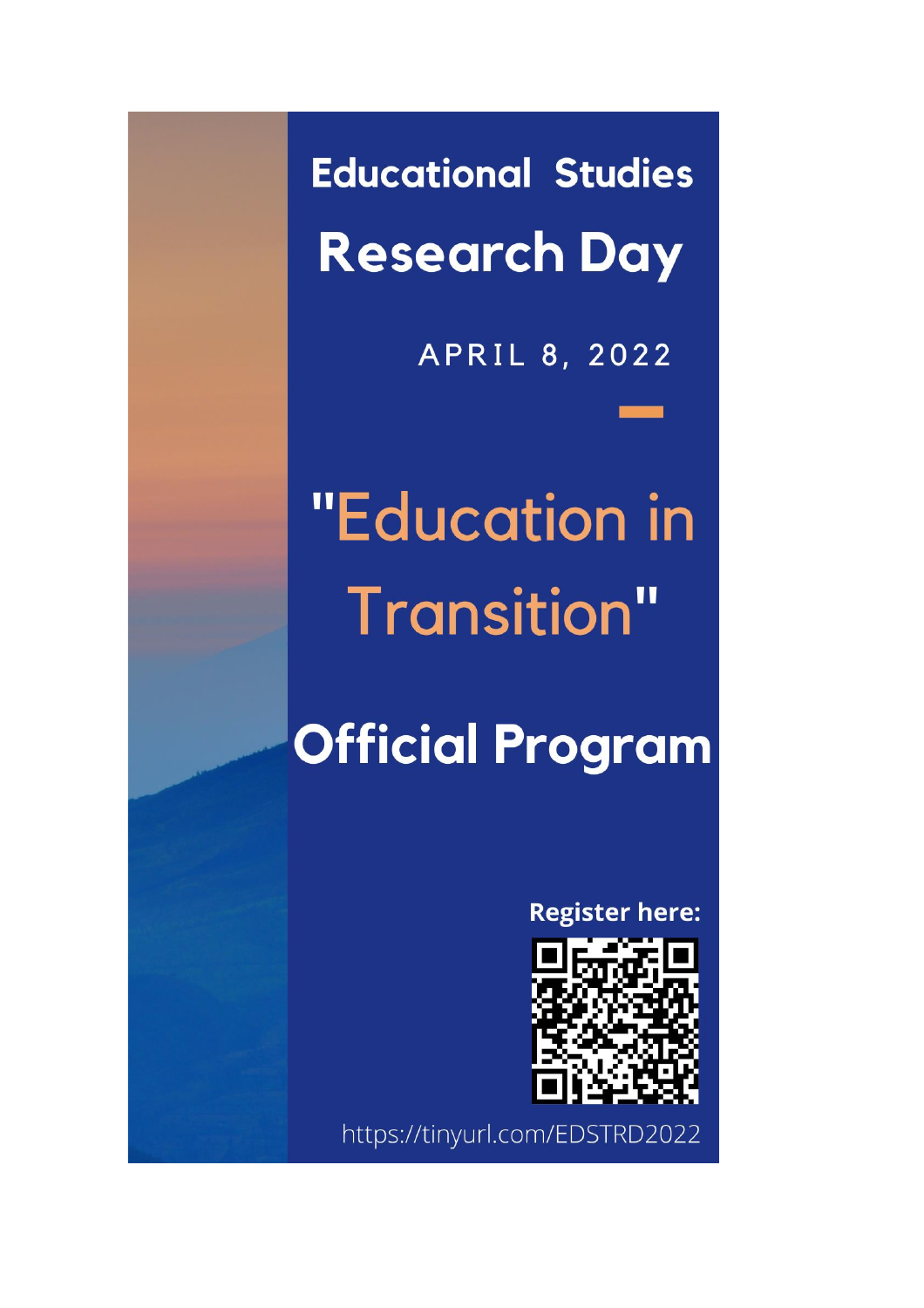**Educational Studies Research Day** 

APRIL 8, 2022

# "Education in **Transition"**

## **Official Program**

**Register here:** 



https://tinyurl.com/EDSTRD2022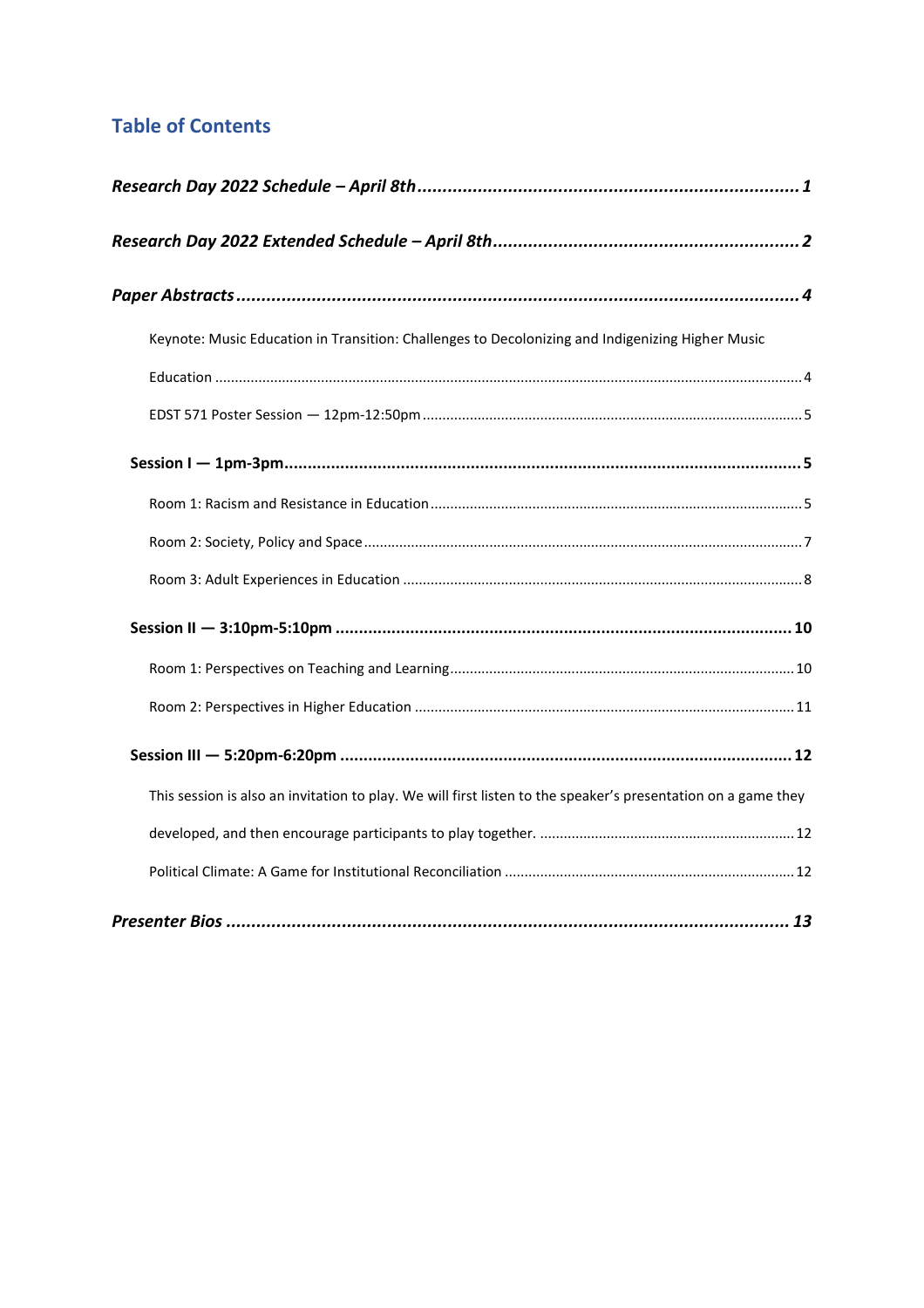#### **Table of Contents**

| Keynote: Music Education in Transition: Challenges to Decolonizing and Indigenizing Higher Music              |  |
|---------------------------------------------------------------------------------------------------------------|--|
|                                                                                                               |  |
|                                                                                                               |  |
|                                                                                                               |  |
|                                                                                                               |  |
|                                                                                                               |  |
|                                                                                                               |  |
|                                                                                                               |  |
|                                                                                                               |  |
|                                                                                                               |  |
|                                                                                                               |  |
| This session is also an invitation to play. We will first listen to the speaker's presentation on a game they |  |
|                                                                                                               |  |
|                                                                                                               |  |
|                                                                                                               |  |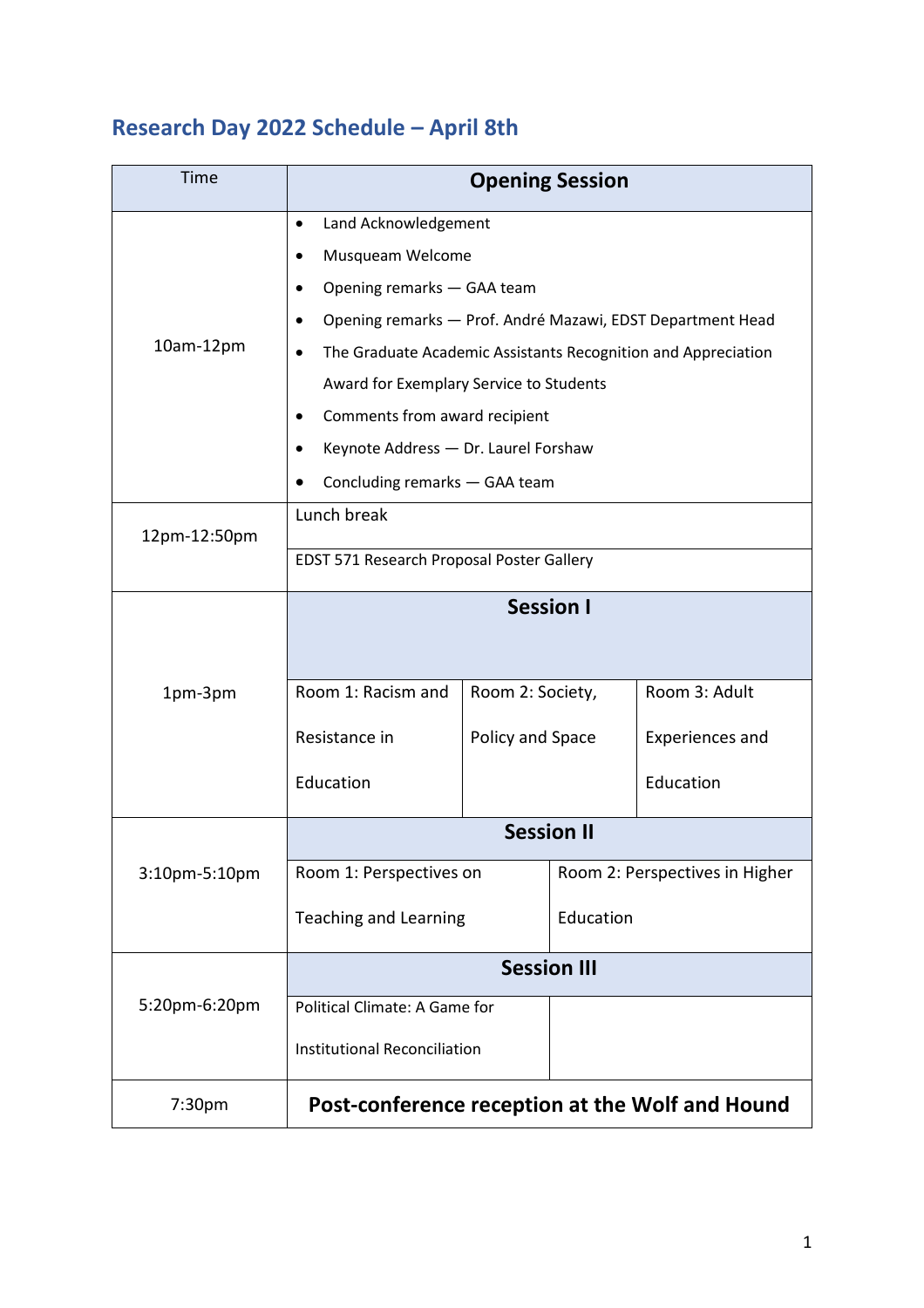## <span id="page-2-0"></span>**Research Day 2022 Schedule – April 8th**

| Time          | <b>Opening Session</b>                                                     |                  |                                |                        |
|---------------|----------------------------------------------------------------------------|------------------|--------------------------------|------------------------|
|               | Land Acknowledgement<br>$\bullet$                                          |                  |                                |                        |
|               | Musqueam Welcome                                                           |                  |                                |                        |
|               | Opening remarks - GAA team                                                 |                  |                                |                        |
|               | Opening remarks - Prof. André Mazawi, EDST Department Head                 |                  |                                |                        |
| $10am-12pm$   | The Graduate Academic Assistants Recognition and Appreciation<br>$\bullet$ |                  |                                |                        |
|               | Award for Exemplary Service to Students                                    |                  |                                |                        |
|               | Comments from award recipient<br>٠                                         |                  |                                |                        |
|               | Keynote Address - Dr. Laurel Forshaw<br>٠                                  |                  |                                |                        |
|               | Concluding remarks - GAA team                                              |                  |                                |                        |
|               | Lunch break                                                                |                  |                                |                        |
| 12pm-12:50pm  | EDST 571 Research Proposal Poster Gallery                                  |                  |                                |                        |
|               |                                                                            |                  |                                |                        |
|               | <b>Session I</b>                                                           |                  |                                |                        |
|               |                                                                            |                  |                                |                        |
| 1pm-3pm       | Room 1: Racism and                                                         | Room 2: Society, |                                | Room 3: Adult          |
|               | Resistance in                                                              | Policy and Space |                                | <b>Experiences and</b> |
|               | Education                                                                  |                  |                                | Education              |
|               |                                                                            |                  |                                |                        |
| 3:10pm-5:10pm | <b>Session II</b>                                                          |                  |                                |                        |
|               | Room 1: Perspectives on                                                    |                  | Room 2: Perspectives in Higher |                        |
|               | <b>Teaching and Learning</b>                                               |                  | Education                      |                        |
|               |                                                                            |                  |                                |                        |
| 5:20pm-6:20pm | <b>Session III</b>                                                         |                  |                                |                        |
|               | Political Climate: A Game for                                              |                  |                                |                        |
|               | <b>Institutional Reconciliation</b>                                        |                  |                                |                        |
| 7:30pm        | Post-conference reception at the Wolf and Hound                            |                  |                                |                        |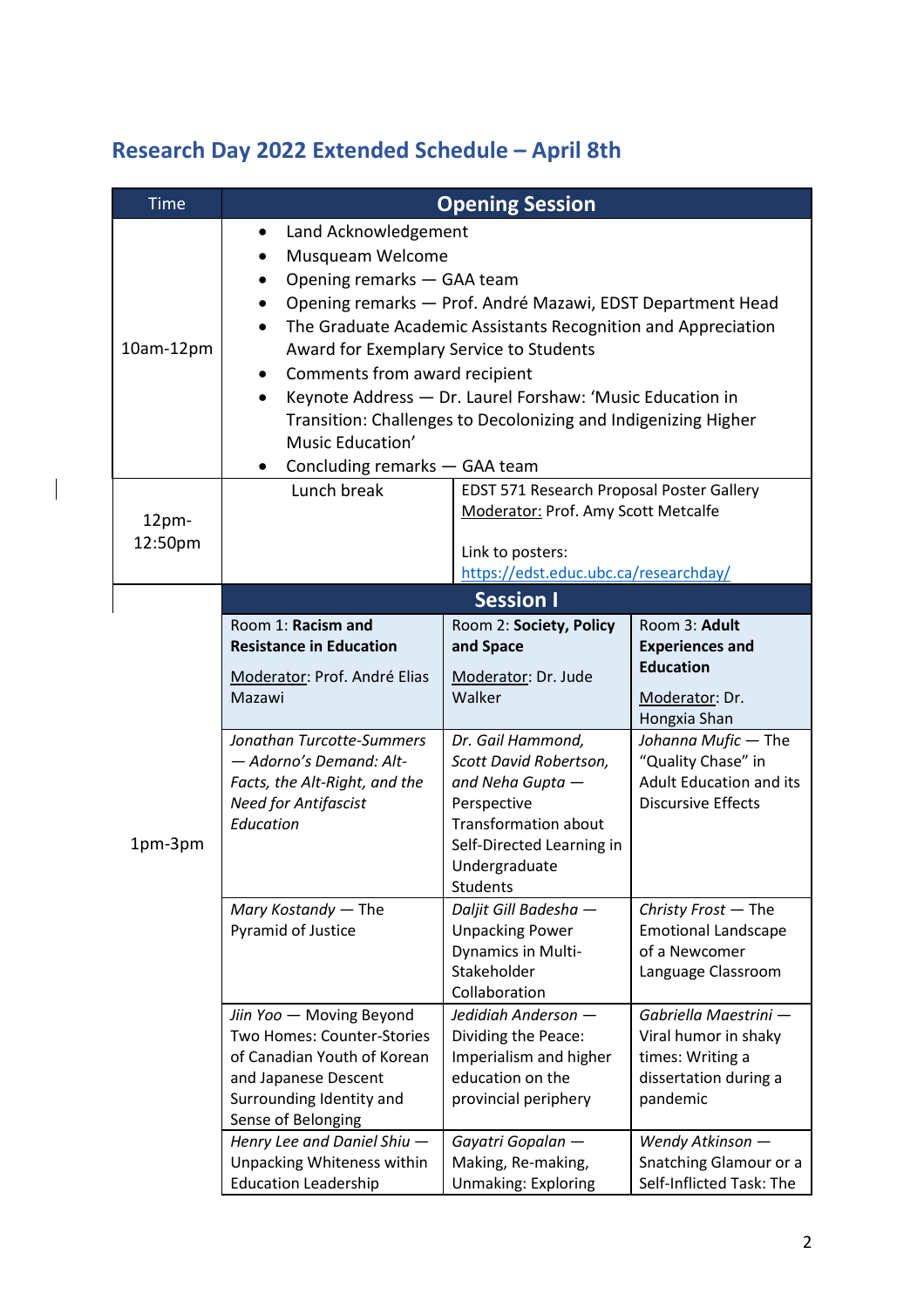### <span id="page-3-0"></span>**Research Day 2022 Extended Schedule – April 8th**

 $\begin{array}{c} \hline \end{array}$ 

| <b>Time</b>      | <b>Opening Session</b>                                                                                                                                                                                                                                                                                                                                                                                                                                                                  |                                                                                                                                                                                                                                                                      |                                                                                                                                                                                                           |  |  |  |
|------------------|-----------------------------------------------------------------------------------------------------------------------------------------------------------------------------------------------------------------------------------------------------------------------------------------------------------------------------------------------------------------------------------------------------------------------------------------------------------------------------------------|----------------------------------------------------------------------------------------------------------------------------------------------------------------------------------------------------------------------------------------------------------------------|-----------------------------------------------------------------------------------------------------------------------------------------------------------------------------------------------------------|--|--|--|
| 10am-12pm        | Land Acknowledgement<br>Musqueam Welcome<br>Opening remarks - GAA team<br>Opening remarks - Prof. André Mazawi, EDST Department Head<br>$\bullet$<br>The Graduate Academic Assistants Recognition and Appreciation<br>Award for Exemplary Service to Students<br>Comments from award recipient<br>٠<br>Keynote Address - Dr. Laurel Forshaw: 'Music Education in<br>Transition: Challenges to Decolonizing and Indigenizing Higher<br>Music Education'<br>Concluding remarks - GAA team |                                                                                                                                                                                                                                                                      |                                                                                                                                                                                                           |  |  |  |
| 12pm-<br>12:50pm | Lunch break<br>EDST 571 Research Proposal Poster Gallery<br>Moderator: Prof. Amy Scott Metcalfe<br>Link to posters:<br>https://edst.educ.ubc.ca/researchday/                                                                                                                                                                                                                                                                                                                            |                                                                                                                                                                                                                                                                      |                                                                                                                                                                                                           |  |  |  |
| 1pm-3pm          | Room 1: Racism and<br><b>Resistance in Education</b><br>Moderator: Prof. André Elias<br>Mazawi<br>Jonathan Turcotte-Summers<br>- Adorno's Demand: Alt-<br>Facts, the Alt-Right, and the<br><b>Need for Antifascist</b><br>Education                                                                                                                                                                                                                                                     | <b>Session I</b><br>Room 2: Society, Policy<br>and Space<br>Moderator: Dr. Jude<br>Walker<br>Dr. Gail Hammond,<br>Scott David Robertson,<br>and Neha Gupta -<br>Perspective<br><b>Transformation about</b><br>Self-Directed Learning in<br>Undergraduate<br>Students | Room 3: Adult<br><b>Experiences and</b><br><b>Education</b><br>Moderator: Dr.<br>Hongxia Shan<br>Johanna Mufic - The<br>"Quality Chase" in<br><b>Adult Education and its</b><br><b>Discursive Effects</b> |  |  |  |
|                  | Mary Kostandy - The<br>Pyramid of Justice<br>Jiin Yoo - Moving Beyond<br>Two Homes: Counter-Stories<br>of Canadian Youth of Korean<br>and Japanese Descent<br>Surrounding Identity and<br>Sense of Belonging                                                                                                                                                                                                                                                                            | Daljit Gill Badesha -<br><b>Unpacking Power</b><br>Dynamics in Multi-<br>Stakeholder<br>Collaboration<br>Jedidiah Anderson -<br>Dividing the Peace:<br>Imperialism and higher<br>education on the<br>provincial periphery                                            | Christy Frost - The<br><b>Emotional Landscape</b><br>of a Newcomer<br>Language Classroom<br>Gabriella Maestrini -<br>Viral humor in shaky<br>times: Writing a<br>dissertation during a<br>pandemic        |  |  |  |
|                  | Henry Lee and Daniel Shiu -<br>Unpacking Whiteness within<br><b>Education Leadership</b>                                                                                                                                                                                                                                                                                                                                                                                                | Gayatri Gopalan -<br>Making, Re-making,<br><b>Unmaking: Exploring</b>                                                                                                                                                                                                | Wendy Atkinson -<br>Snatching Glamour or a<br>Self-Inflicted Task: The                                                                                                                                    |  |  |  |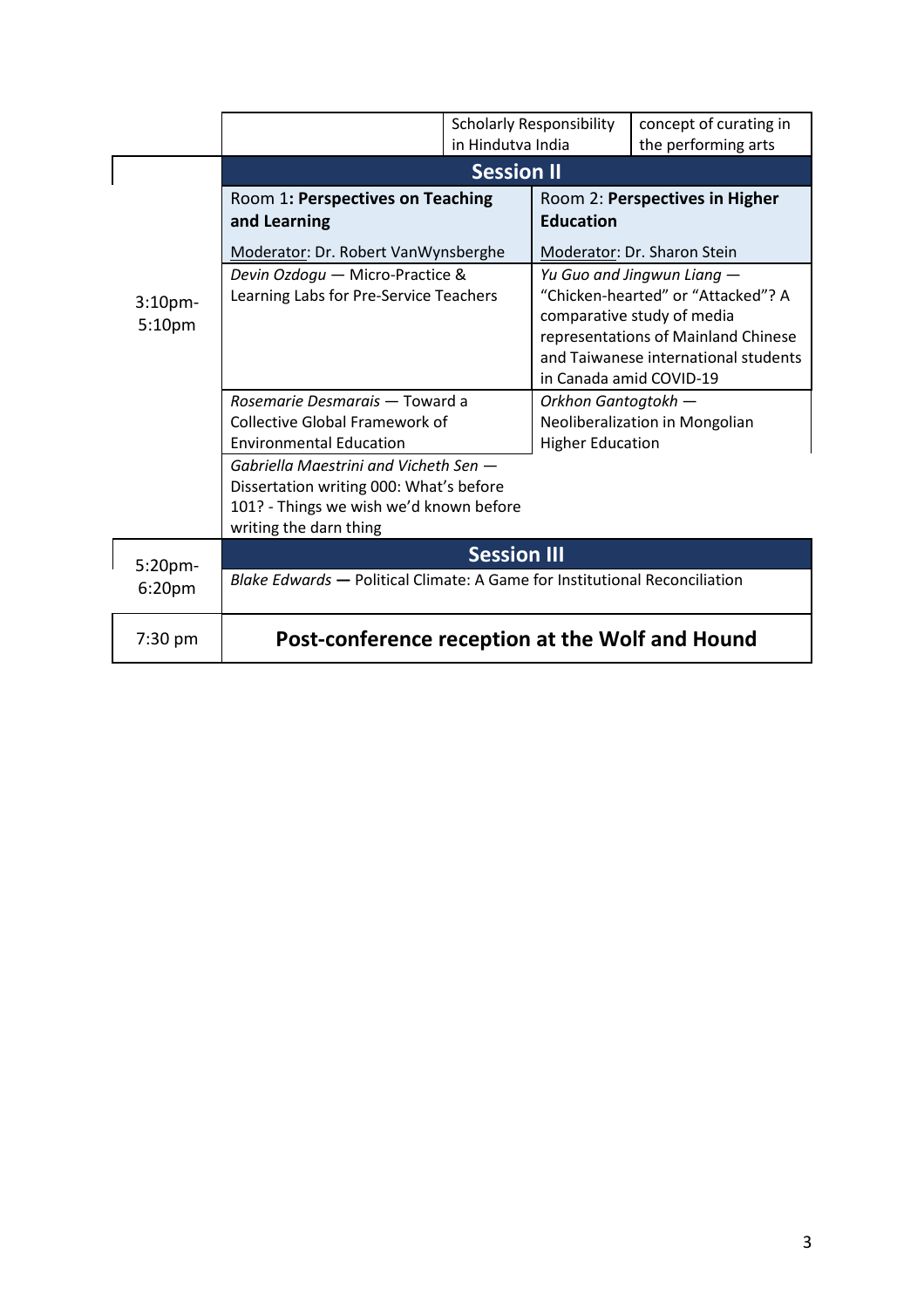|                                          |                                                                                                                                                    | <b>Scholarly Responsibility</b><br>in Hindutva India |                                                                                                                                                                                                          | concept of curating in<br>the performing arts                 |
|------------------------------------------|----------------------------------------------------------------------------------------------------------------------------------------------------|------------------------------------------------------|----------------------------------------------------------------------------------------------------------------------------------------------------------------------------------------------------------|---------------------------------------------------------------|
|                                          | <b>Session II</b>                                                                                                                                  |                                                      |                                                                                                                                                                                                          |                                                               |
| 3:10 <sub>pm</sub><br>5:10 <sub>pm</sub> | Room 1: Perspectives on Teaching<br>and Learning<br>Moderator: Dr. Robert VanWynsberghe                                                            |                                                      | <b>Education</b>                                                                                                                                                                                         | Room 2: Perspectives in Higher<br>Moderator: Dr. Sharon Stein |
|                                          | Devin Ozdogu - Micro-Practice &<br>Learning Labs for Pre-Service Teachers                                                                          |                                                      | Yu Guo and Jingwun Liang -<br>"Chicken-hearted" or "Attacked"? A<br>comparative study of media<br>representations of Mainland Chinese<br>and Taiwanese international students<br>in Canada amid COVID-19 |                                                               |
|                                          | Rosemarie Desmarais - Toward a<br><b>Collective Global Framework of</b><br><b>Environmental Education</b><br>Gabriella Maestrini and Vicheth Sen - |                                                      | Orkhon Gantogtokh -<br><b>Higher Education</b>                                                                                                                                                           | Neoliberalization in Mongolian                                |
|                                          | Dissertation writing 000: What's before<br>101? - Things we wish we'd known before<br>writing the darn thing                                       |                                                      |                                                                                                                                                                                                          |                                                               |
| 5:20pm-                                  | <b>Session III</b>                                                                                                                                 |                                                      |                                                                                                                                                                                                          |                                                               |
| 6:20 <sub>pm</sub>                       | Blake Edwards - Political Climate: A Game for Institutional Reconciliation                                                                         |                                                      |                                                                                                                                                                                                          |                                                               |
| $7:30$ pm                                | Post-conference reception at the Wolf and Hound                                                                                                    |                                                      |                                                                                                                                                                                                          |                                                               |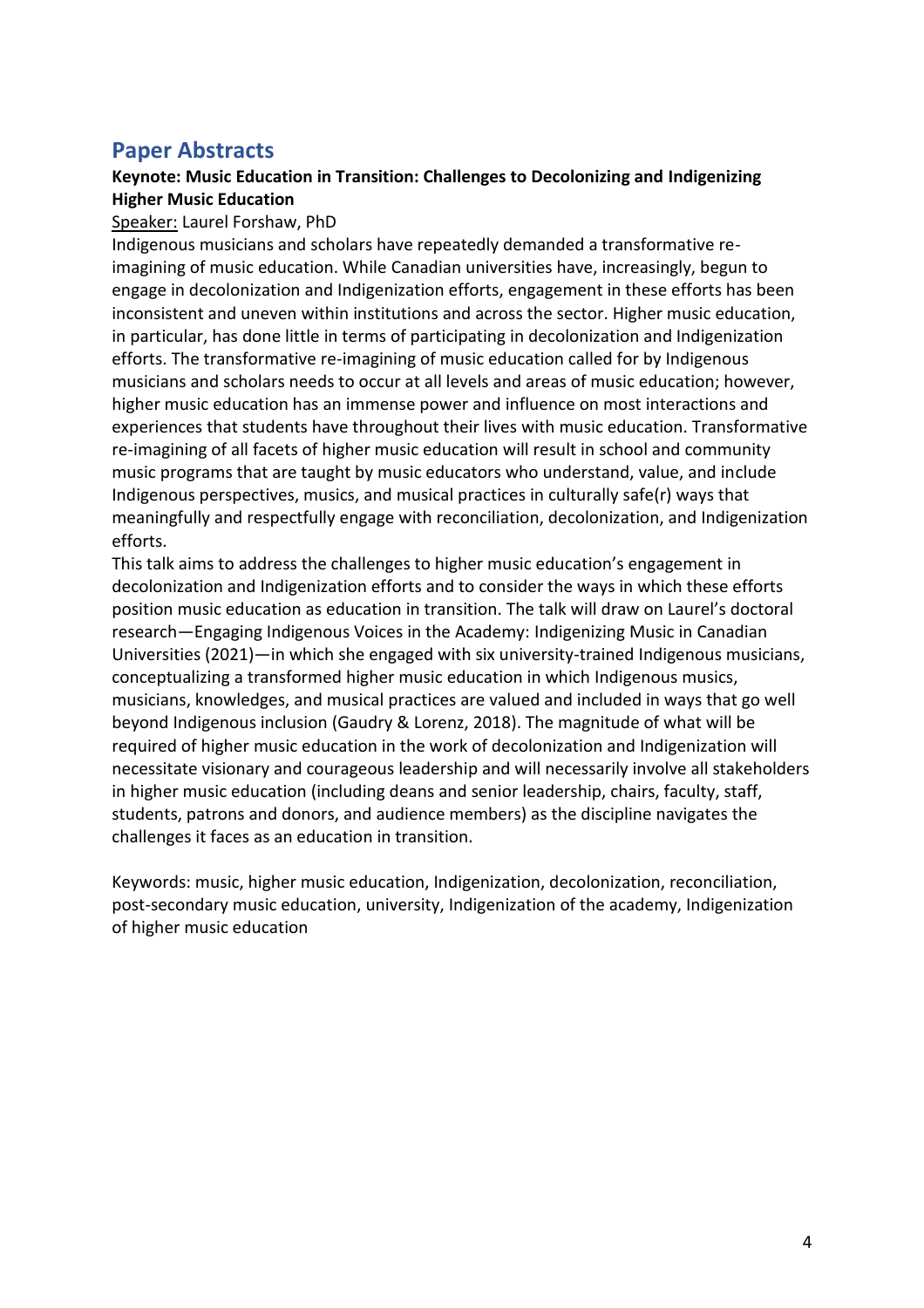#### <span id="page-5-0"></span>**Paper Abstracts**

#### <span id="page-5-1"></span>**Keynote: Music Education in Transition: Challenges to Decolonizing and Indigenizing Higher Music Education**

#### Speaker: Laurel Forshaw, PhD

Indigenous musicians and scholars have repeatedly demanded a transformative reimagining of music education. While Canadian universities have, increasingly, begun to engage in decolonization and Indigenization efforts, engagement in these efforts has been inconsistent and uneven within institutions and across the sector. Higher music education, in particular, has done little in terms of participating in decolonization and Indigenization efforts. The transformative re-imagining of music education called for by Indigenous musicians and scholars needs to occur at all levels and areas of music education; however, higher music education has an immense power and influence on most interactions and experiences that students have throughout their lives with music education. Transformative re-imagining of all facets of higher music education will result in school and community music programs that are taught by music educators who understand, value, and include Indigenous perspectives, musics, and musical practices in culturally safe(r) ways that meaningfully and respectfully engage with reconciliation, decolonization, and Indigenization efforts.

This talk aims to address the challenges to higher music education's engagement in decolonization and Indigenization efforts and to consider the ways in which these efforts position music education as education in transition. The talk will draw on Laurel's doctoral research—Engaging Indigenous Voices in the Academy: Indigenizing Music in Canadian Universities (2021)—in which she engaged with six university-trained Indigenous musicians, conceptualizing a transformed higher music education in which Indigenous musics, musicians, knowledges, and musical practices are valued and included in ways that go well beyond Indigenous inclusion (Gaudry & Lorenz, 2018). The magnitude of what will be required of higher music education in the work of decolonization and Indigenization will necessitate visionary and courageous leadership and will necessarily involve all stakeholders in higher music education (including deans and senior leadership, chairs, faculty, staff, students, patrons and donors, and audience members) as the discipline navigates the challenges it faces as an education in transition.

Keywords: music, higher music education, Indigenization, decolonization, reconciliation, post-secondary music education, university, Indigenization of the academy, Indigenization of higher music education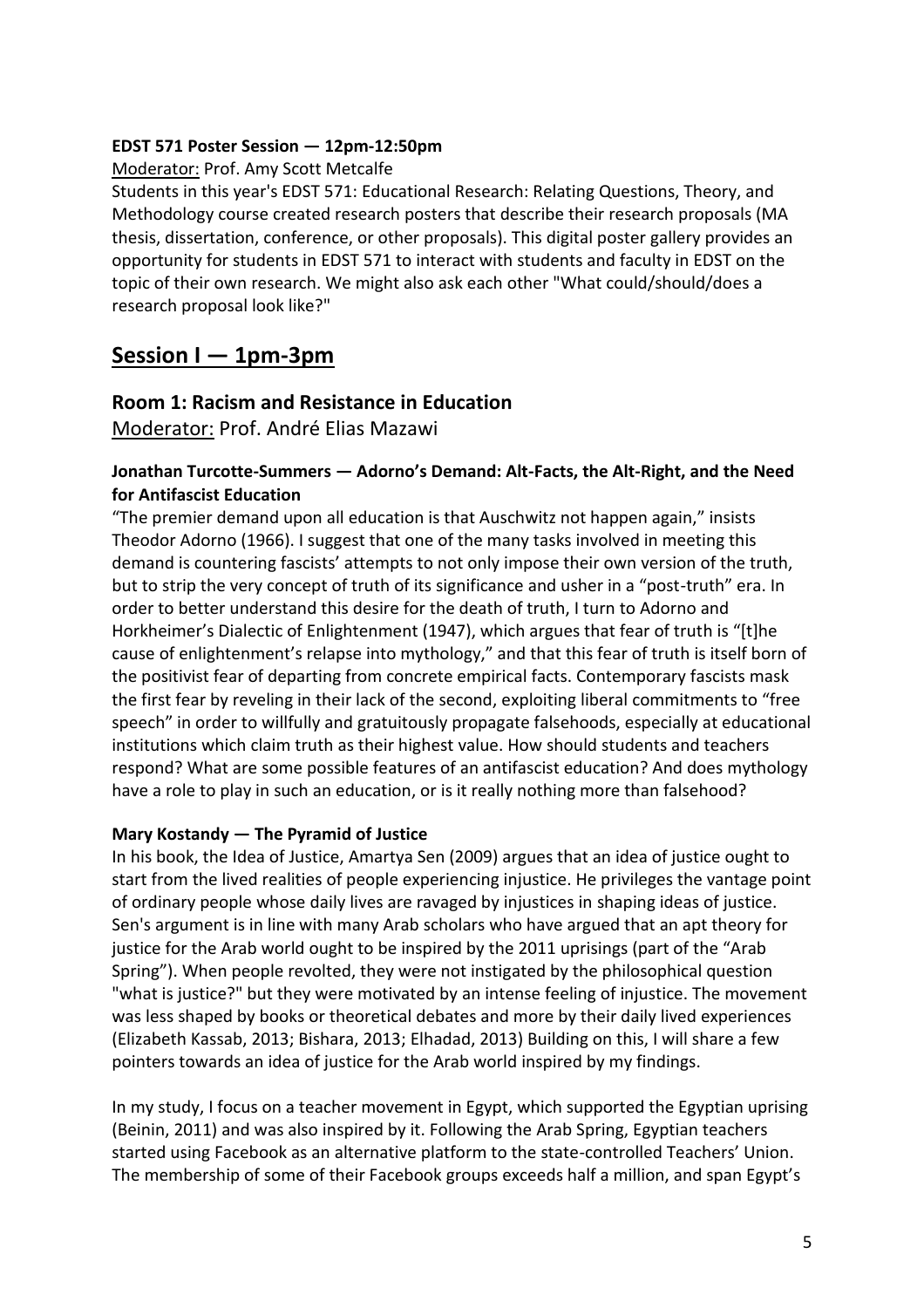#### <span id="page-6-0"></span>**EDST 571 Poster Session — 12pm-12:50pm**

#### Moderator: Prof. Amy Scott Metcalfe

Students in this year's EDST 571: Educational Research: Relating Questions, Theory, and Methodology course created research posters that describe their research proposals (MA thesis, dissertation, conference, or other proposals). This digital poster gallery provides an opportunity for students in EDST 571 to interact with students and faculty in EDST on the topic of their own research. We might also ask each other "What could/should/does a research proposal look like?"

#### <span id="page-6-1"></span>**Session I — 1pm-3pm**

#### <span id="page-6-2"></span>**Room 1: Racism and Resistance in Education**

Moderator: Prof. André Elias Mazawi

#### **Jonathan Turcotte-Summers — Adorno's Demand: Alt-Facts, the Alt-Right, and the Need for Antifascist Education**

"The premier demand upon all education is that Auschwitz not happen again," insists Theodor Adorno (1966). I suggest that one of the many tasks involved in meeting this demand is countering fascists' attempts to not only impose their own version of the truth, but to strip the very concept of truth of its significance and usher in a "post-truth" era. In order to better understand this desire for the death of truth, I turn to Adorno and Horkheimer's Dialectic of Enlightenment (1947), which argues that fear of truth is "[t]he cause of enlightenment's relapse into mythology," and that this fear of truth is itself born of the positivist fear of departing from concrete empirical facts. Contemporary fascists mask the first fear by reveling in their lack of the second, exploiting liberal commitments to "free speech" in order to willfully and gratuitously propagate falsehoods, especially at educational institutions which claim truth as their highest value. How should students and teachers respond? What are some possible features of an antifascist education? And does mythology have a role to play in such an education, or is it really nothing more than falsehood?

#### **Mary Kostandy — The Pyramid of Justice**

In his book, the Idea of Justice, Amartya Sen (2009) argues that an idea of justice ought to start from the lived realities of people experiencing injustice. He privileges the vantage point of ordinary people whose daily lives are ravaged by injustices in shaping ideas of justice. Sen's argument is in line with many Arab scholars who have argued that an apt theory for justice for the Arab world ought to be inspired by the 2011 uprisings (part of the "Arab Spring"). When people revolted, they were not instigated by the philosophical question "what is justice?" but they were motivated by an intense feeling of injustice. The movement was less shaped by books or theoretical debates and more by their daily lived experiences (Elizabeth Kassab, 2013; Bishara, 2013; Elhadad, 2013) Building on this, I will share a few pointers towards an idea of justice for the Arab world inspired by my findings.

In my study, I focus on a teacher movement in Egypt, which supported the Egyptian uprising (Beinin, 2011) and was also inspired by it. Following the Arab Spring, Egyptian teachers started using Facebook as an alternative platform to the state-controlled Teachers' Union. The membership of some of their Facebook groups exceeds half a million, and span Egypt's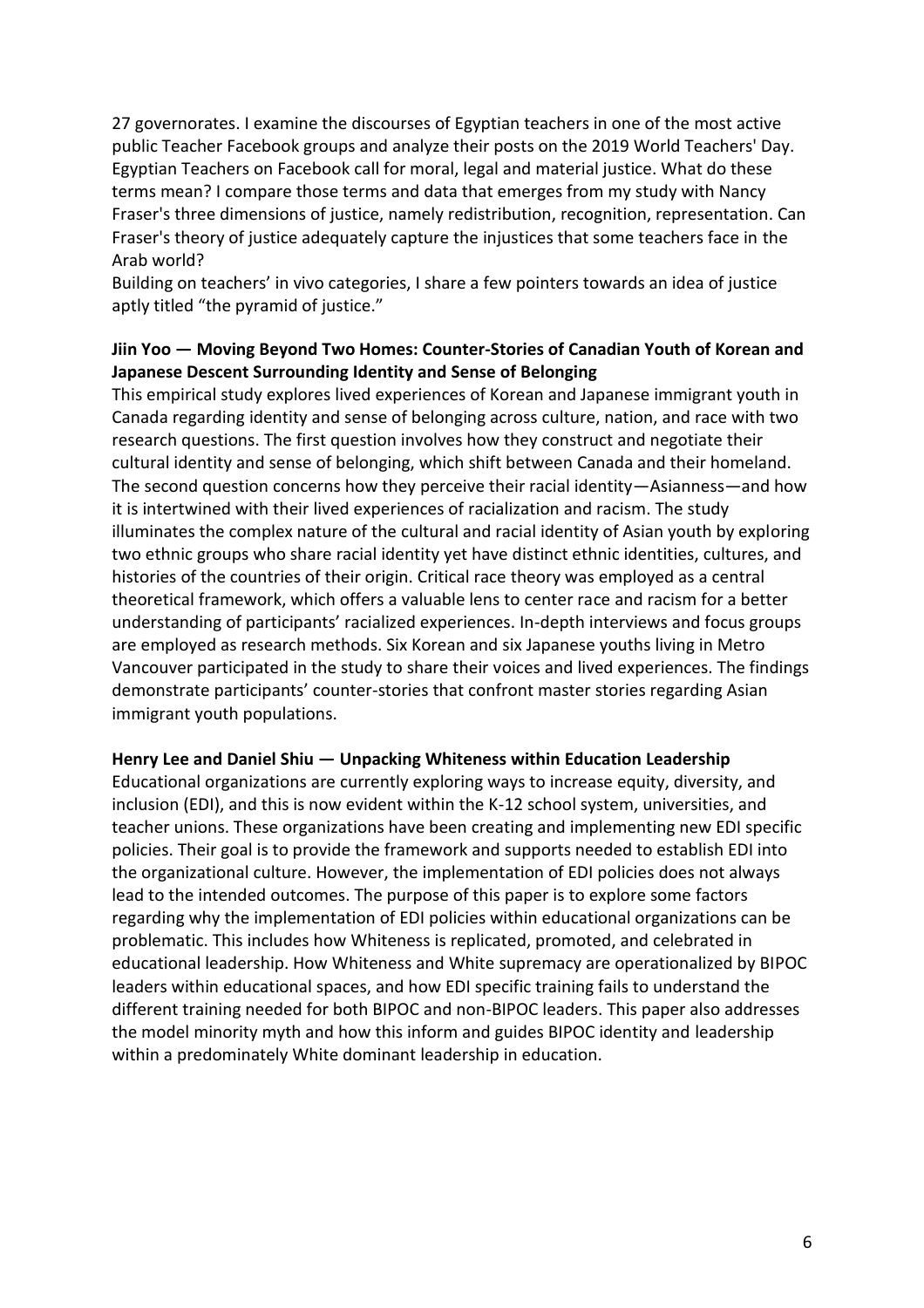27 governorates. I examine the discourses of Egyptian teachers in one of the most active public Teacher Facebook groups and analyze their posts on the 2019 World Teachers' Day. Egyptian Teachers on Facebook call for moral, legal and material justice. What do these terms mean? I compare those terms and data that emerges from my study with Nancy Fraser's three dimensions of justice, namely redistribution, recognition, representation. Can Fraser's theory of justice adequately capture the injustices that some teachers face in the Arab world?

Building on teachers' in vivo categories, I share a few pointers towards an idea of justice aptly titled "the pyramid of justice."

#### **Jiin Yoo — Moving Beyond Two Homes: Counter-Stories of Canadian Youth of Korean and Japanese Descent Surrounding Identity and Sense of Belonging**

This empirical study explores lived experiences of Korean and Japanese immigrant youth in Canada regarding identity and sense of belonging across culture, nation, and race with two research questions. The first question involves how they construct and negotiate their cultural identity and sense of belonging, which shift between Canada and their homeland. The second question concerns how they perceive their racial identity—Asianness—and how it is intertwined with their lived experiences of racialization and racism. The study illuminates the complex nature of the cultural and racial identity of Asian youth by exploring two ethnic groups who share racial identity yet have distinct ethnic identities, cultures, and histories of the countries of their origin. Critical race theory was employed as a central theoretical framework, which offers a valuable lens to center race and racism for a better understanding of participants' racialized experiences. In-depth interviews and focus groups are employed as research methods. Six Korean and six Japanese youths living in Metro Vancouver participated in the study to share their voices and lived experiences. The findings demonstrate participants' counter-stories that confront master stories regarding Asian immigrant youth populations.

#### **Henry Lee and Daniel Shiu — Unpacking Whiteness within Education Leadership**

Educational organizations are currently exploring ways to increase equity, diversity, and inclusion (EDI), and this is now evident within the K-12 school system, universities, and teacher unions. These organizations have been creating and implementing new EDI specific policies. Their goal is to provide the framework and supports needed to establish EDI into the organizational culture. However, the implementation of EDI policies does not always lead to the intended outcomes. The purpose of this paper is to explore some factors regarding why the implementation of EDI policies within educational organizations can be problematic. This includes how Whiteness is replicated, promoted, and celebrated in educational leadership. How Whiteness and White supremacy are operationalized by BIPOC leaders within educational spaces, and how EDI specific training fails to understand the different training needed for both BIPOC and non-BIPOC leaders. This paper also addresses the model minority myth and how this inform and guides BIPOC identity and leadership within a predominately White dominant leadership in education.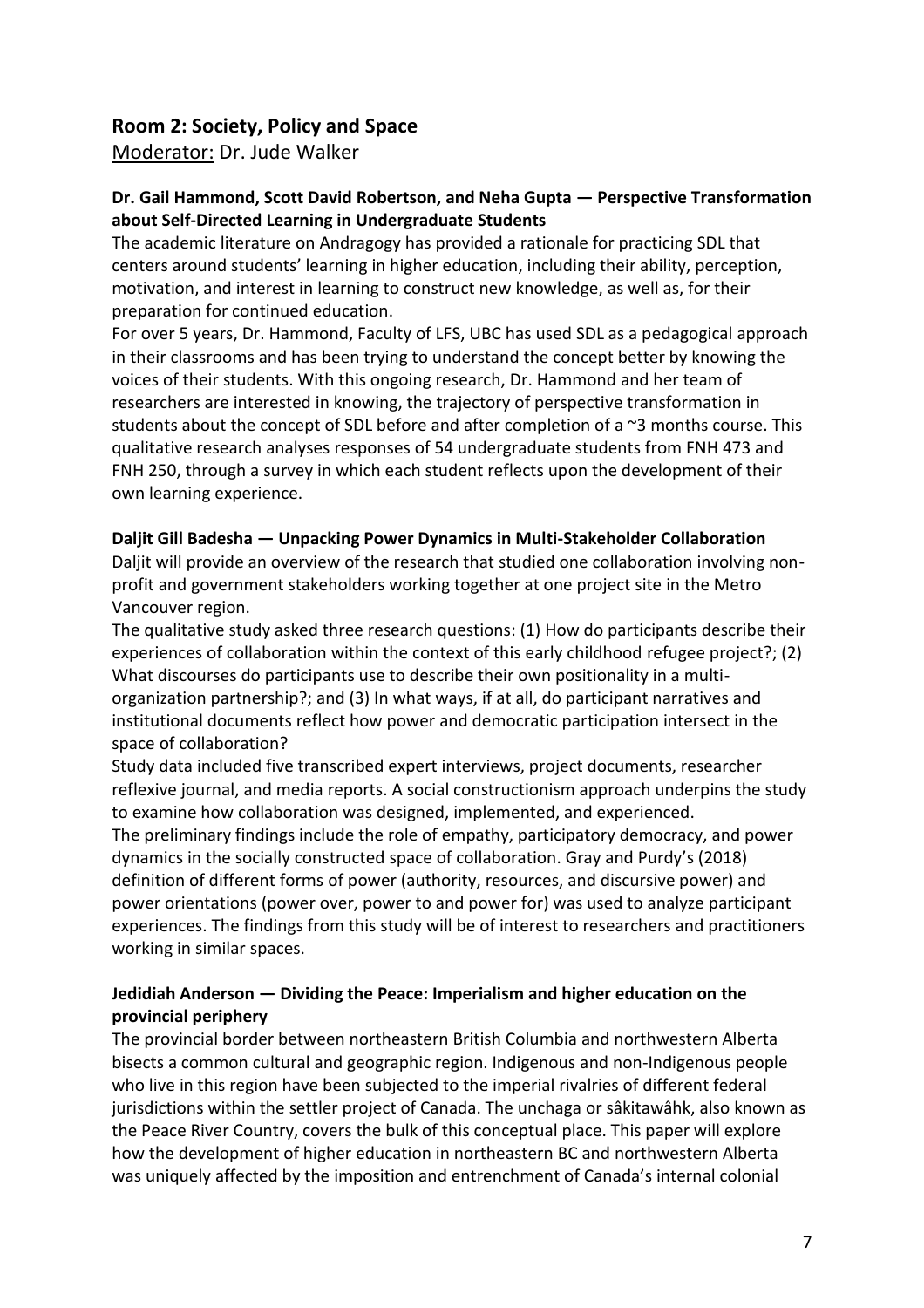#### <span id="page-8-0"></span>**Room 2: Society, Policy and Space**

Moderator: Dr. Jude Walker

#### **Dr. Gail Hammond, Scott David Robertson, and Neha Gupta — Perspective Transformation about Self-Directed Learning in Undergraduate Students**

The academic literature on Andragogy has provided a rationale for practicing SDL that centers around students' learning in higher education, including their ability, perception, motivation, and interest in learning to construct new knowledge, as well as, for their preparation for continued education.

For over 5 years, Dr. Hammond, Faculty of LFS, UBC has used SDL as a pedagogical approach in their classrooms and has been trying to understand the concept better by knowing the voices of their students. With this ongoing research, Dr. Hammond and her team of researchers are interested in knowing, the trajectory of perspective transformation in students about the concept of SDL before and after completion of a ~3 months course. This qualitative research analyses responses of 54 undergraduate students from FNH 473 and FNH 250, through a survey in which each student reflects upon the development of their own learning experience.

#### **Daljit Gill Badesha — Unpacking Power Dynamics in Multi-Stakeholder Collaboration**

Daljit will provide an overview of the research that studied one collaboration involving nonprofit and government stakeholders working together at one project site in the Metro Vancouver region.

The qualitative study asked three research questions: (1) How do participants describe their experiences of collaboration within the context of this early childhood refugee project?; (2) What discourses do participants use to describe their own positionality in a multiorganization partnership?; and (3) In what ways, if at all, do participant narratives and institutional documents reflect how power and democratic participation intersect in the space of collaboration?

Study data included five transcribed expert interviews, project documents, researcher reflexive journal, and media reports. A social constructionism approach underpins the study to examine how collaboration was designed, implemented, and experienced. The preliminary findings include the role of empathy, participatory democracy, and power dynamics in the socially constructed space of collaboration. Gray and Purdy's (2018) definition of different forms of power (authority, resources, and discursive power) and power orientations (power over, power to and power for) was used to analyze participant experiences. The findings from this study will be of interest to researchers and practitioners working in similar spaces.

#### **Jedidiah Anderson — Dividing the Peace: Imperialism and higher education on the provincial periphery**

The provincial border between northeastern British Columbia and northwestern Alberta bisects a common cultural and geographic region. Indigenous and non-Indigenous people who live in this region have been subjected to the imperial rivalries of different federal jurisdictions within the settler project of Canada. The unchaga or sâkitawâhk, also known as the Peace River Country, covers the bulk of this conceptual place. This paper will explore how the development of higher education in northeastern BC and northwestern Alberta was uniquely affected by the imposition and entrenchment of Canada's internal colonial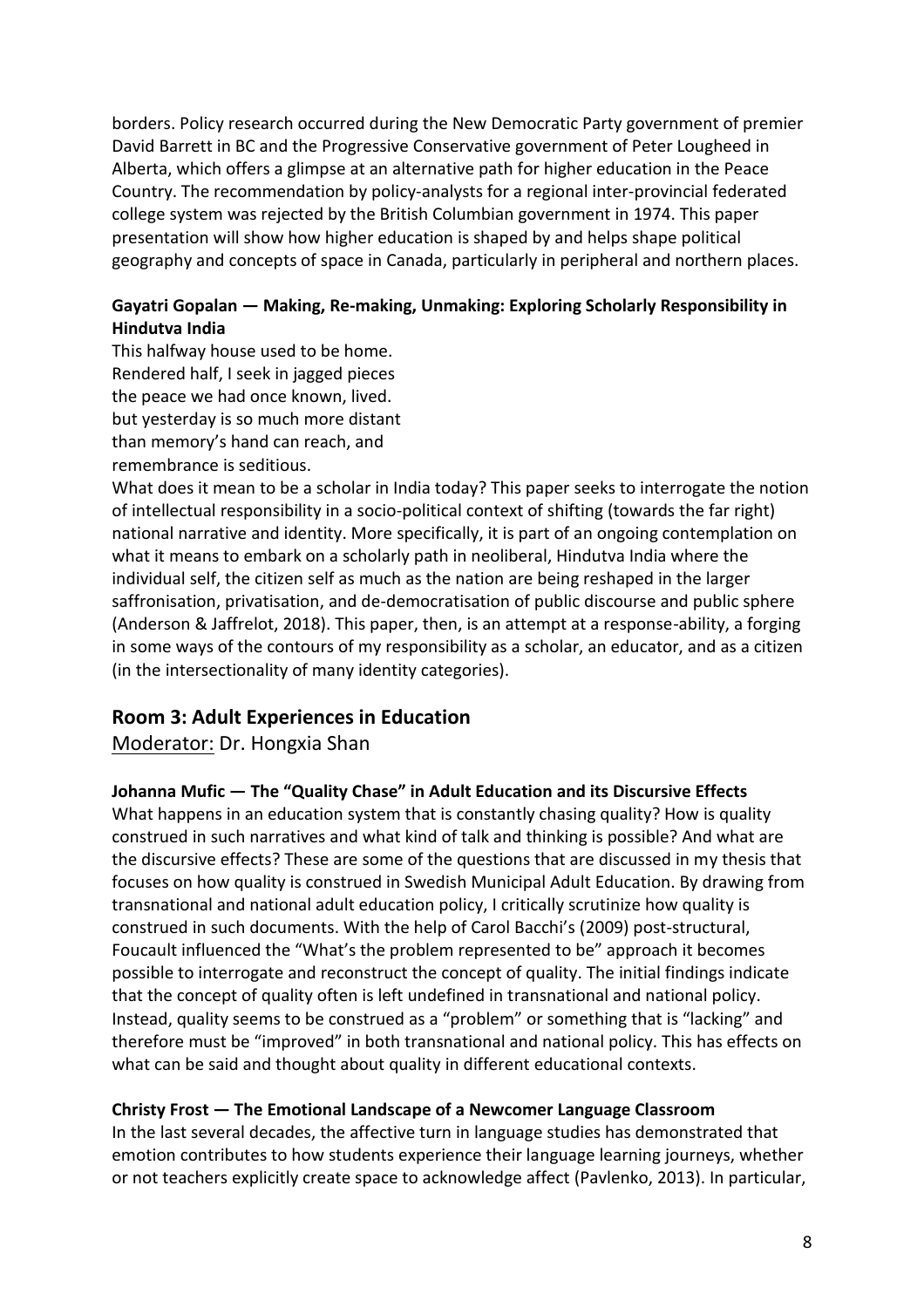borders. Policy research occurred during the New Democratic Party government of premier David Barrett in BC and the Progressive Conservative government of Peter Lougheed in Alberta, which offers a glimpse at an alternative path for higher education in the Peace Country. The recommendation by policy-analysts for a regional inter-provincial federated college system was rejected by the British Columbian government in 1974. This paper presentation will show how higher education is shaped by and helps shape political geography and concepts of space in Canada, particularly in peripheral and northern places.

#### **Gayatri Gopalan — Making, Re-making, Unmaking: Exploring Scholarly Responsibility in Hindutva India**

This halfway house used to be home. Rendered half, I seek in jagged pieces the peace we had once known, lived. but yesterday is so much more distant than memory's hand can reach, and remembrance is seditious.

What does it mean to be a scholar in India today? This paper seeks to interrogate the notion of intellectual responsibility in a socio-political context of shifting (towards the far right) national narrative and identity. More specifically, it is part of an ongoing contemplation on what it means to embark on a scholarly path in neoliberal, Hindutva India where the individual self, the citizen self as much as the nation are being reshaped in the larger saffronisation, privatisation, and de-democratisation of public discourse and public sphere (Anderson & Jaffrelot, 2018). This paper, then, is an attempt at a response-ability, a forging in some ways of the contours of my responsibility as a scholar, an educator, and as a citizen (in the intersectionality of many identity categories).

#### <span id="page-9-0"></span>**Room 3: Adult Experiences in Education**

Moderator: Dr. Hongxia Shan

#### **Johanna Mufic — The "Quality Chase" in Adult Education and its Discursive Effects**

What happens in an education system that is constantly chasing quality? How is quality construed in such narratives and what kind of talk and thinking is possible? And what are the discursive effects? These are some of the questions that are discussed in my thesis that focuses on how quality is construed in Swedish Municipal Adult Education. By drawing from transnational and national adult education policy, I critically scrutinize how quality is construed in such documents. With the help of Carol Bacchi's (2009) post-structural, Foucault influenced the "What's the problem represented to be" approach it becomes possible to interrogate and reconstruct the concept of quality. The initial findings indicate that the concept of quality often is left undefined in transnational and national policy. Instead, quality seems to be construed as a "problem" or something that is "lacking" and therefore must be "improved" in both transnational and national policy. This has effects on what can be said and thought about quality in different educational contexts.

#### **Christy Frost — The Emotional Landscape of a Newcomer Language Classroom**

In the last several decades, the affective turn in language studies has demonstrated that emotion contributes to how students experience their language learning journeys, whether or not teachers explicitly create space to acknowledge affect (Pavlenko, 2013). In particular,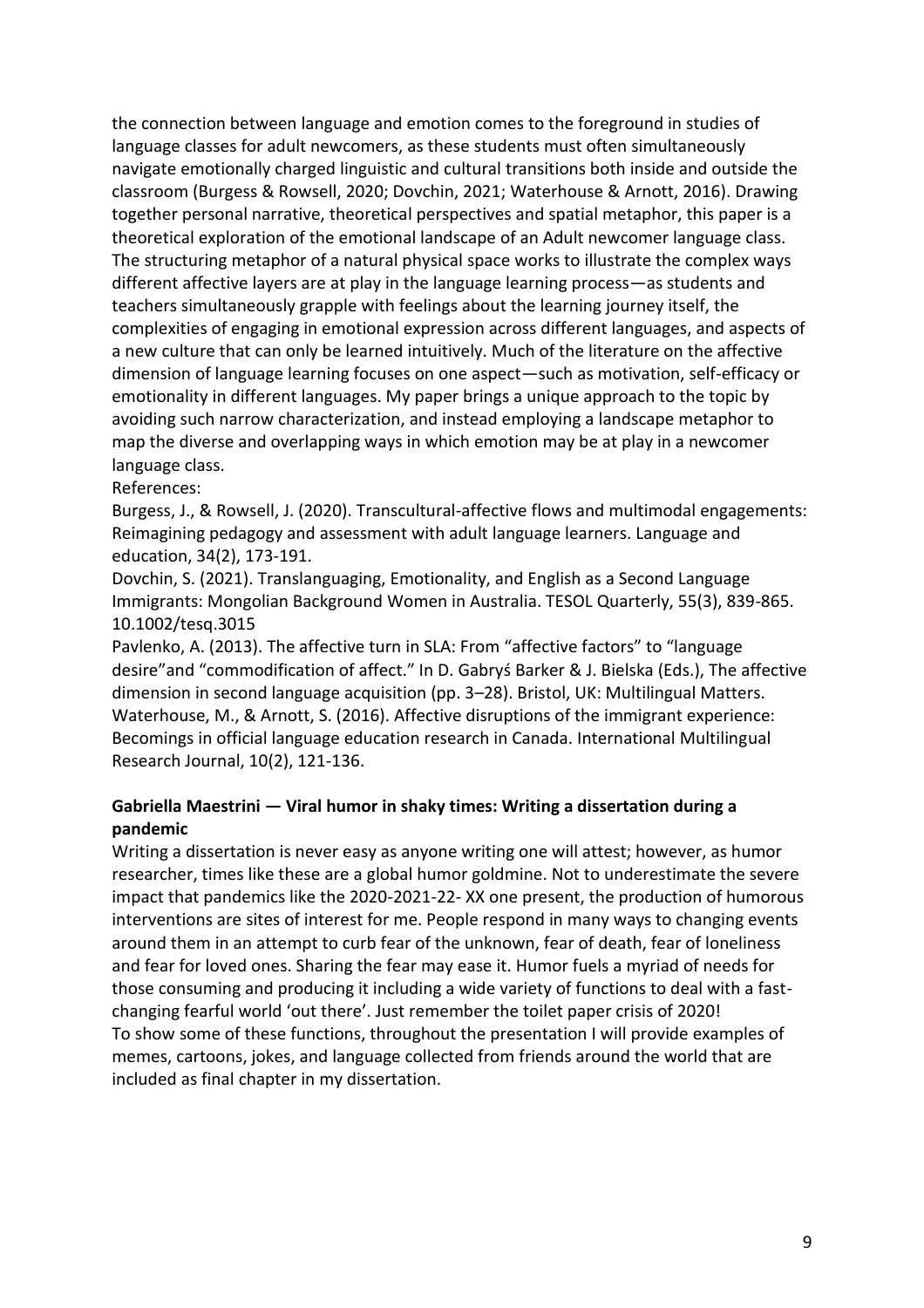the connection between language and emotion comes to the foreground in studies of language classes for adult newcomers, as these students must often simultaneously navigate emotionally charged linguistic and cultural transitions both inside and outside the classroom (Burgess & Rowsell, 2020; Dovchin, 2021; Waterhouse & Arnott, 2016). Drawing together personal narrative, theoretical perspectives and spatial metaphor, this paper is a theoretical exploration of the emotional landscape of an Adult newcomer language class. The structuring metaphor of a natural physical space works to illustrate the complex ways different affective layers are at play in the language learning process—as students and teachers simultaneously grapple with feelings about the learning journey itself, the complexities of engaging in emotional expression across different languages, and aspects of a new culture that can only be learned intuitively. Much of the literature on the affective dimension of language learning focuses on one aspect—such as motivation, self-efficacy or emotionality in different languages. My paper brings a unique approach to the topic by avoiding such narrow characterization, and instead employing a landscape metaphor to map the diverse and overlapping ways in which emotion may be at play in a newcomer language class.

#### References:

Burgess, J., & Rowsell, J. (2020). Transcultural-affective flows and multimodal engagements: Reimagining pedagogy and assessment with adult language learners. Language and education, 34(2), 173-191.

Dovchin, S. (2021). Translanguaging, Emotionality, and English as a Second Language Immigrants: Mongolian Background Women in Australia. TESOL Quarterly, 55(3), 839-865. 10.1002/tesq.3015

Pavlenko, A. (2013). The affective turn in SLA: From "affective factors" to "language desire"and "commodification of affect." In D. Gabryś Barker & J. Bielska (Eds.), The affective dimension in second language acquisition (pp. 3–28). Bristol, UK: Multilingual Matters. Waterhouse, M., & Arnott, S. (2016). Affective disruptions of the immigrant experience: Becomings in official language education research in Canada. International Multilingual Research Journal, 10(2), 121-136.

#### **Gabriella Maestrini — Viral humor in shaky times: Writing a dissertation during a pandemic**

Writing a dissertation is never easy as anyone writing one will attest; however, as humor researcher, times like these are a global humor goldmine. Not to underestimate the severe impact that pandemics like the 2020-2021-22- XX one present, the production of humorous interventions are sites of interest for me. People respond in many ways to changing events around them in an attempt to curb fear of the unknown, fear of death, fear of loneliness and fear for loved ones. Sharing the fear may ease it. Humor fuels a myriad of needs for those consuming and producing it including a wide variety of functions to deal with a fastchanging fearful world 'out there'. Just remember the toilet paper crisis of 2020! To show some of these functions, throughout the presentation I will provide examples of memes, cartoons, jokes, and language collected from friends around the world that are included as final chapter in my dissertation.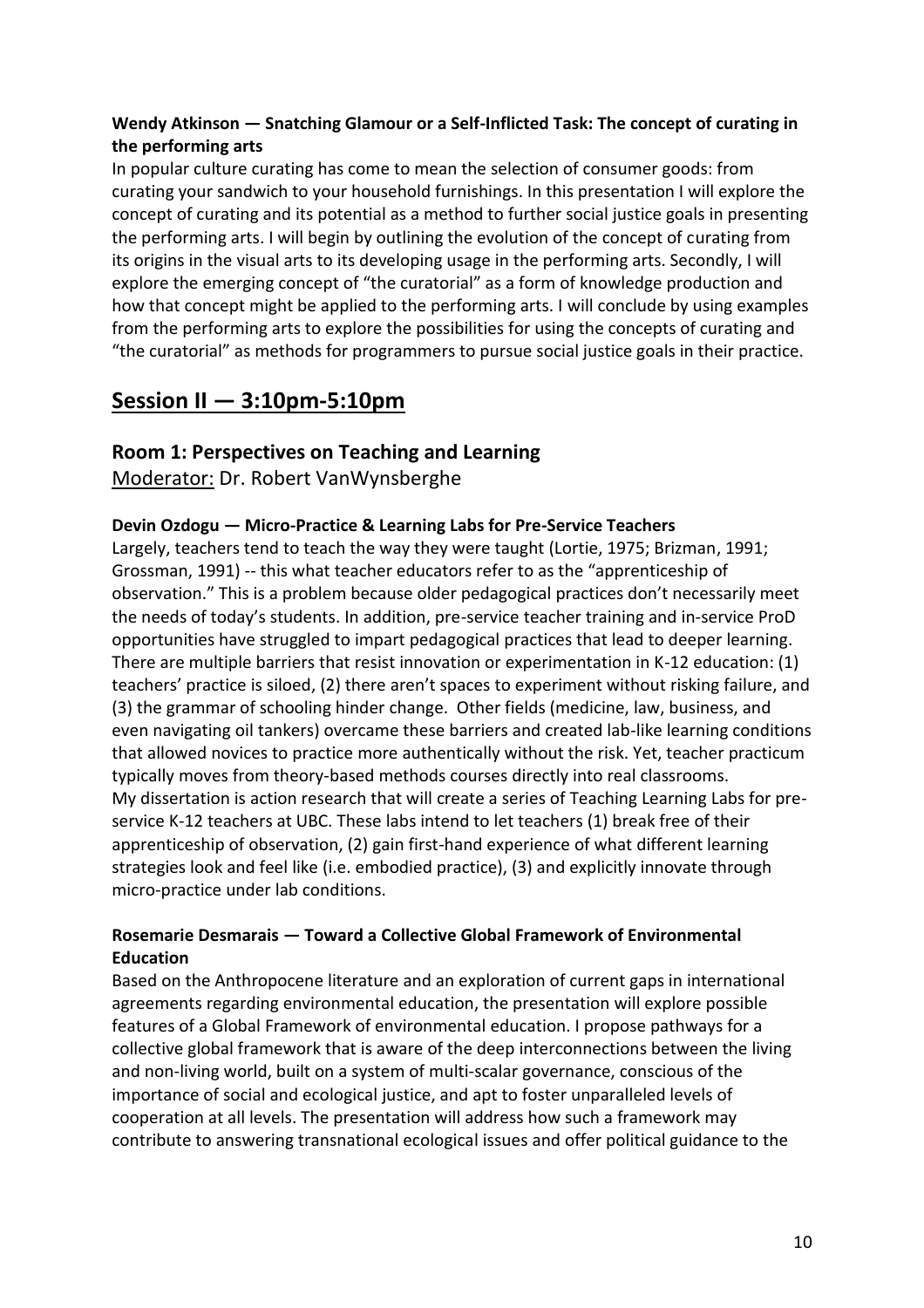#### **Wendy Atkinson — Snatching Glamour or a Self-Inflicted Task: The concept of curating in the performing arts**

In popular culture curating has come to mean the selection of consumer goods: from curating your sandwich to your household furnishings. In this presentation I will explore the concept of curating and its potential as a method to further social justice goals in presenting the performing arts. I will begin by outlining the evolution of the concept of curating from its origins in the visual arts to its developing usage in the performing arts. Secondly, I will explore the emerging concept of "the curatorial" as a form of knowledge production and how that concept might be applied to the performing arts. I will conclude by using examples from the performing arts to explore the possibilities for using the concepts of curating and "the curatorial" as methods for programmers to pursue social justice goals in their practice.

#### <span id="page-11-0"></span>**Session II — 3:10pm-5:10pm**

#### <span id="page-11-1"></span>**Room 1: Perspectives on Teaching and Learning**

Moderator: Dr. Robert VanWynsberghe

#### **Devin Ozdogu — Micro-Practice & Learning Labs for Pre-Service Teachers**

Largely, teachers tend to teach the way they were taught (Lortie, 1975; Brizman, 1991; Grossman, 1991) -- this what teacher educators refer to as the "apprenticeship of observation." This is a problem because older pedagogical practices don't necessarily meet the needs of today's students. In addition, pre-service teacher training and in-service ProD opportunities have struggled to impart pedagogical practices that lead to deeper learning. There are multiple barriers that resist innovation or experimentation in K-12 education: (1) teachers' practice is siloed, (2) there aren't spaces to experiment without risking failure, and (3) the grammar of schooling hinder change. Other fields (medicine, law, business, and even navigating oil tankers) overcame these barriers and created lab-like learning conditions that allowed novices to practice more authentically without the risk. Yet, teacher practicum typically moves from theory-based methods courses directly into real classrooms. My dissertation is action research that will create a series of Teaching Learning Labs for preservice K-12 teachers at UBC. These labs intend to let teachers (1) break free of their apprenticeship of observation, (2) gain first-hand experience of what different learning strategies look and feel like (i.e. embodied practice), (3) and explicitly innovate through micro-practice under lab conditions.

#### **Rosemarie Desmarais — Toward a Collective Global Framework of Environmental Education**

Based on the Anthropocene literature and an exploration of current gaps in international agreements regarding environmental education, the presentation will explore possible features of a Global Framework of environmental education. I propose pathways for a collective global framework that is aware of the deep interconnections between the living and non-living world, built on a system of multi-scalar governance, conscious of the importance of social and ecological justice, and apt to foster unparalleled levels of cooperation at all levels. The presentation will address how such a framework may contribute to answering transnational ecological issues and offer political guidance to the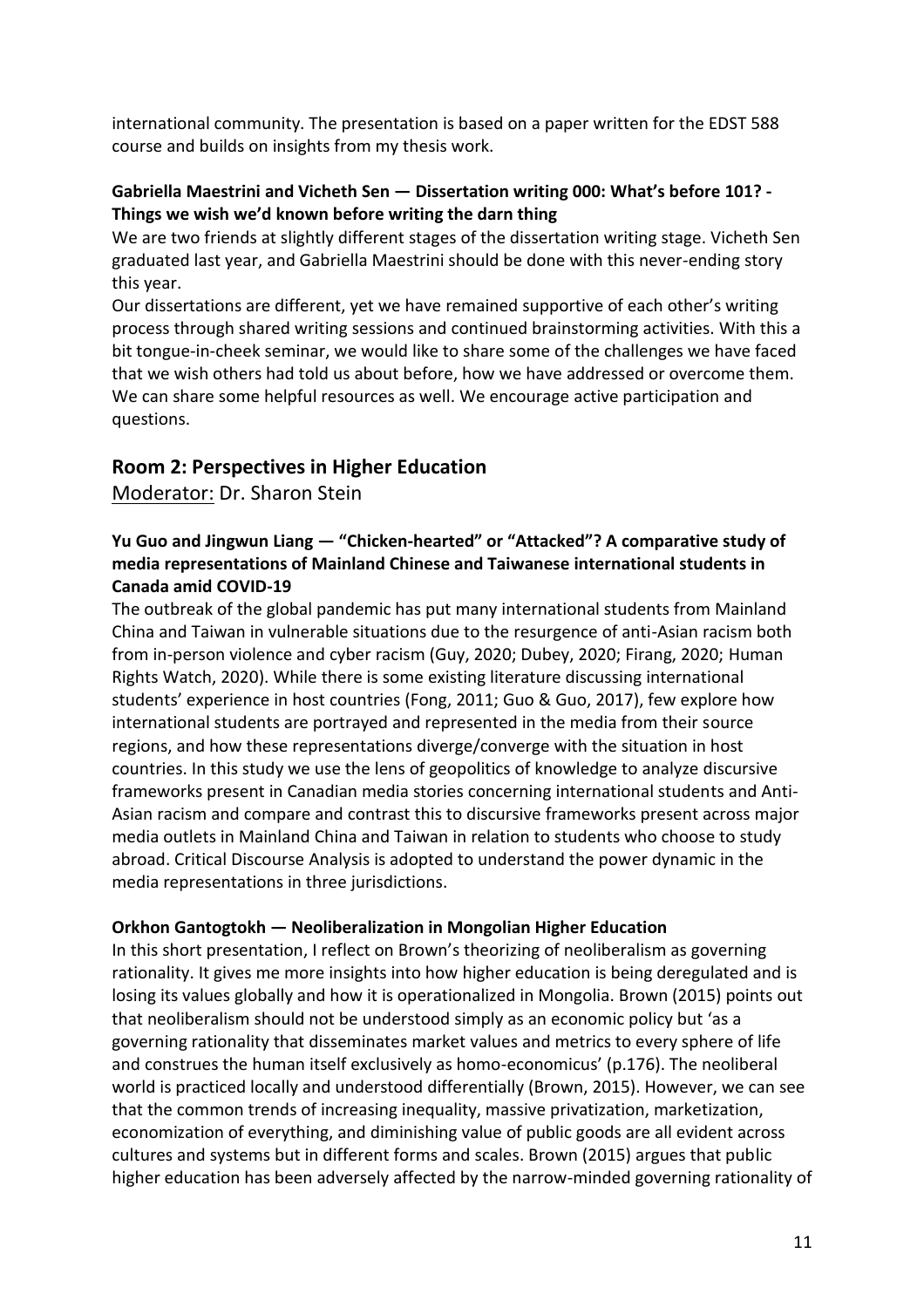international community. The presentation is based on a paper written for the EDST 588 course and builds on insights from my thesis work.

#### **Gabriella Maestrini and Vicheth Sen — Dissertation writing 000: What's before 101? - Things we wish we'd known before writing the darn thing**

We are two friends at slightly different stages of the dissertation writing stage. Vicheth Sen graduated last year, and Gabriella Maestrini should be done with this never-ending story this year.

Our dissertations are different, yet we have remained supportive of each other's writing process through shared writing sessions and continued brainstorming activities. With this a bit tongue-in-cheek seminar, we would like to share some of the challenges we have faced that we wish others had told us about before, how we have addressed or overcome them. We can share some helpful resources as well. We encourage active participation and questions.

#### <span id="page-12-0"></span>**Room 2: Perspectives in Higher Education**

Moderator: Dr. Sharon Stein

#### **Yu Guo and Jingwun Liang — "Chicken-hearted" or "Attacked"? A comparative study of media representations of Mainland Chinese and Taiwanese international students in Canada amid COVID-19**

The outbreak of the global pandemic has put many international students from Mainland China and Taiwan in vulnerable situations due to the resurgence of anti-Asian racism both from in-person violence and cyber racism (Guy, 2020; Dubey, 2020; Firang, 2020; Human Rights Watch, 2020). While there is some existing literature discussing international students' experience in host countries (Fong, 2011; Guo & Guo, 2017), few explore how international students are portrayed and represented in the media from their source regions, and how these representations diverge/converge with the situation in host countries. In this study we use the lens of geopolitics of knowledge to analyze discursive frameworks present in Canadian media stories concerning international students and Anti-Asian racism and compare and contrast this to discursive frameworks present across major media outlets in Mainland China and Taiwan in relation to students who choose to study abroad. Critical Discourse Analysis is adopted to understand the power dynamic in the media representations in three jurisdictions.

#### **Orkhon Gantogtokh — Neoliberalization in Mongolian Higher Education**

In this short presentation, I reflect on Brown's theorizing of neoliberalism as governing rationality. It gives me more insights into how higher education is being deregulated and is losing its values globally and how it is operationalized in Mongolia. Brown (2015) points out that neoliberalism should not be understood simply as an economic policy but 'as a governing rationality that disseminates market values and metrics to every sphere of life and construes the human itself exclusively as homo-economicus' (p.176). The neoliberal world is practiced locally and understood differentially (Brown, 2015). However, we can see that the common trends of increasing inequality, massive privatization, marketization, economization of everything, and diminishing value of public goods are all evident across cultures and systems but in different forms and scales. Brown (2015) argues that public higher education has been adversely affected by the narrow-minded governing rationality of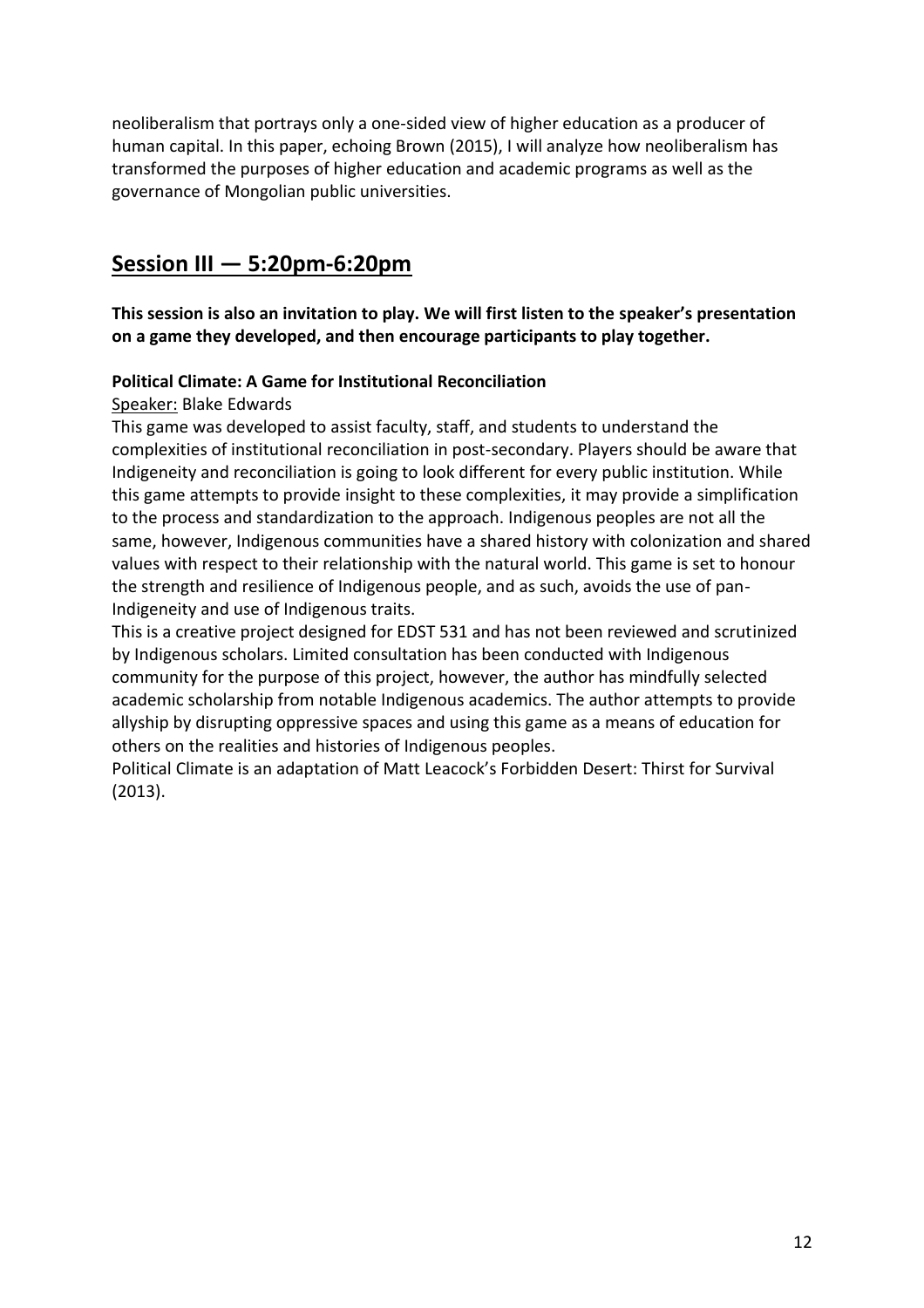neoliberalism that portrays only a one-sided view of higher education as a producer of human capital. In this paper, echoing Brown (2015), I will analyze how neoliberalism has transformed the purposes of higher education and academic programs as well as the governance of Mongolian public universities.

#### <span id="page-13-0"></span>**Session III — 5:20pm-6:20pm**

<span id="page-13-1"></span>**This session is also an invitation to play. We will first listen to the speaker's presentation on a game they developed, and then encourage participants to play together.** 

#### <span id="page-13-2"></span>**Political Climate: A Game for Institutional Reconciliation**

#### Speaker: Blake Edwards

This game was developed to assist faculty, staff, and students to understand the complexities of institutional reconciliation in post-secondary. Players should be aware that Indigeneity and reconciliation is going to look different for every public institution. While this game attempts to provide insight to these complexities, it may provide a simplification to the process and standardization to the approach. Indigenous peoples are not all the same, however, Indigenous communities have a shared history with colonization and shared values with respect to their relationship with the natural world. This game is set to honour the strength and resilience of Indigenous people, and as such, avoids the use of pan-Indigeneity and use of Indigenous traits.

This is a creative project designed for EDST 531 and has not been reviewed and scrutinized by Indigenous scholars. Limited consultation has been conducted with Indigenous community for the purpose of this project, however, the author has mindfully selected academic scholarship from notable Indigenous academics. The author attempts to provide allyship by disrupting oppressive spaces and using this game as a means of education for others on the realities and histories of Indigenous peoples.

Political Climate is an adaptation of Matt Leacock's Forbidden Desert: Thirst for Survival (2013).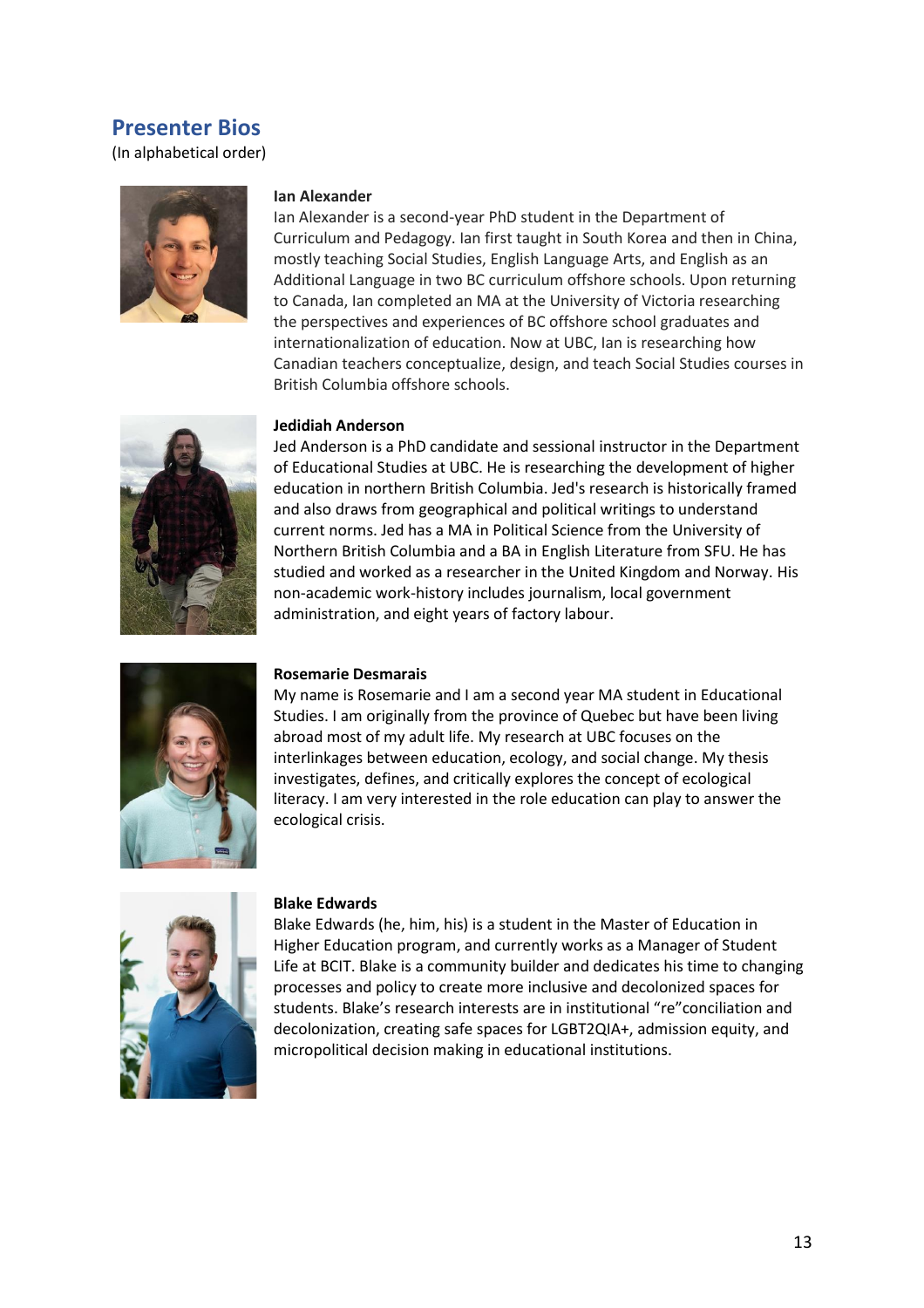#### <span id="page-14-0"></span>**Presenter Bios**

(In alphabetical order)



#### **Ian Alexander**

Ian Alexander is a second-year PhD student in the Department of Curriculum and Pedagogy. Ian first taught in South Korea and then in China, mostly teaching Social Studies, English Language Arts, and English as an Additional Language in two BC curriculum offshore schools. Upon returning to Canada, Ian completed an MA at the University of Victoria researching the perspectives and experiences of BC offshore school graduates and internationalization of education. Now at UBC, Ian is researching how Canadian teachers conceptualize, design, and teach Social Studies courses in British Columbia offshore schools.



#### **Jedidiah Anderson**

Jed Anderson is a PhD candidate and sessional instructor in the Department of Educational Studies at UBC. He is researching the development of higher education in northern British Columbia. Jed's research is historically framed and also draws from geographical and political writings to understand current norms. Jed has a MA in Political Science from the University of Northern British Columbia and a BA in English Literature from SFU. He has studied and worked as a researcher in the United Kingdom and Norway. His non-academic work-history includes journalism, local government administration, and eight years of factory labour.



#### **Rosemarie Desmarais**

My name is Rosemarie and I am a second year MA student in Educational Studies. I am originally from the province of Quebec but have been living abroad most of my adult life. My research at UBC focuses on the interlinkages between education, ecology, and social change. My thesis investigates, defines, and critically explores the concept of ecological literacy. I am very interested in the role education can play to answer the ecological crisis.



#### **Blake Edwards**

Blake Edwards (he, him, his) is a student in the Master of Education in Higher Education program, and currently works as a Manager of Student Life at BCIT. Blake is a community builder and dedicates his time to changing processes and policy to create more inclusive and decolonized spaces for students. Blake's research interests are in institutional "re"conciliation and decolonization, creating safe spaces for LGBT2QIA+, admission equity, and micropolitical decision making in educational institutions.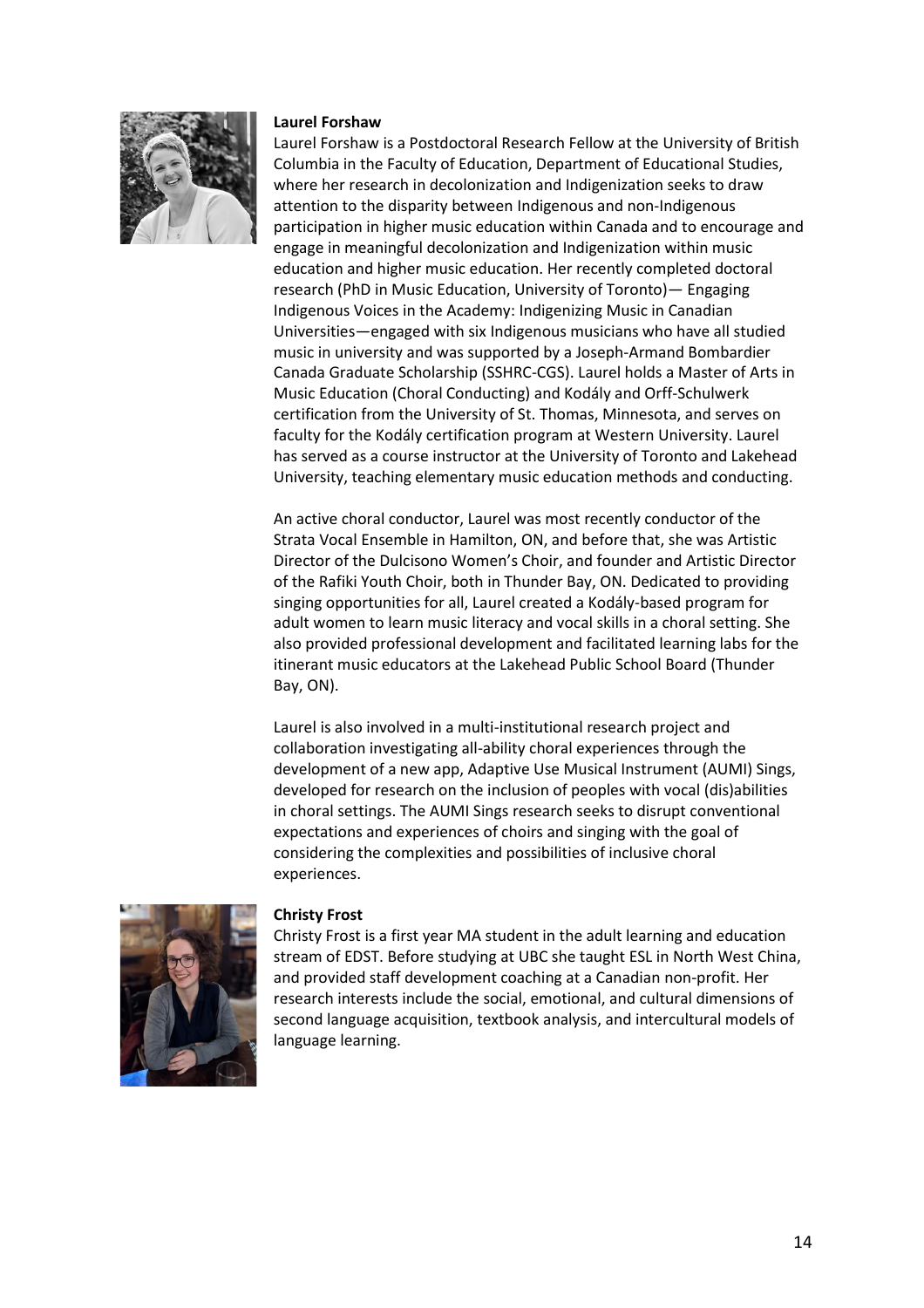

#### **Laurel Forshaw**

Laurel Forshaw is a Postdoctoral Research Fellow at the University of British Columbia in the Faculty of Education, Department of Educational Studies, where her research in decolonization and Indigenization seeks to draw attention to the disparity between Indigenous and non-Indigenous participation in higher music education within Canada and to encourage and engage in meaningful decolonization and Indigenization within music education and higher music education. Her recently completed doctoral research (PhD in Music Education, University of Toronto)— Engaging Indigenous Voices in the Academy: Indigenizing Music in Canadian Universities—engaged with six Indigenous musicians who have all studied music in university and was supported by a Joseph-Armand Bombardier Canada Graduate Scholarship (SSHRC-CGS). Laurel holds a Master of Arts in Music Education (Choral Conducting) and Kodály and Orff-Schulwerk certification from the University of St. Thomas, Minnesota, and serves on faculty for the Kodály certification program at Western University. Laurel has served as a course instructor at the University of Toronto and Lakehead University, teaching elementary music education methods and conducting.

An active choral conductor, Laurel was most recently conductor of the Strata Vocal Ensemble in Hamilton, ON, and before that, she was Artistic Director of the Dulcisono Women's Choir, and founder and Artistic Director of the Rafiki Youth Choir, both in Thunder Bay, ON. Dedicated to providing singing opportunities for all, Laurel created a Kodály-based program for adult women to learn music literacy and vocal skills in a choral setting. She also provided professional development and facilitated learning labs for the itinerant music educators at the Lakehead Public School Board (Thunder Bay, ON).

Laurel is also involved in a multi-institutional research project and collaboration investigating all-ability choral experiences through the development of a new app, Adaptive Use Musical Instrument (AUMI) Sings, developed for research on the inclusion of peoples with vocal (dis)abilities in choral settings. The AUMI Sings research seeks to disrupt conventional expectations and experiences of choirs and singing with the goal of considering the complexities and possibilities of inclusive choral experiences.



#### **Christy Frost**

Christy Frost is a first year MA student in the adult learning and education stream of EDST. Before studying at UBC she taught ESL in North West China, and provided staff development coaching at a Canadian non-profit. Her research interests include the social, emotional, and cultural dimensions of second language acquisition, textbook analysis, and intercultural models of language learning.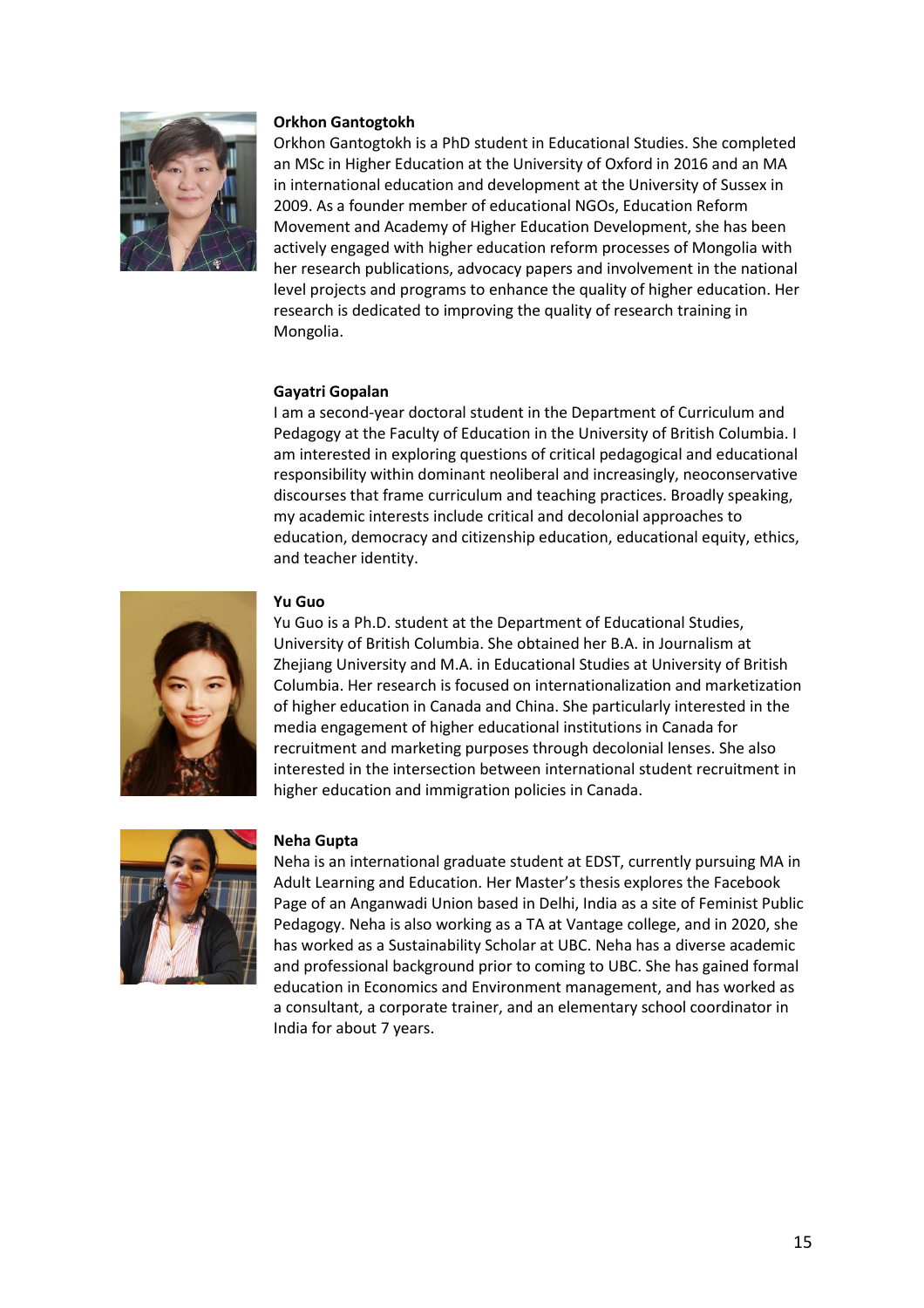

#### **Orkhon Gantogtokh**

Orkhon Gantogtokh is a PhD student in Educational Studies. She completed an MSc in Higher Education at the University of Oxford in 2016 and an MA in international education and development at the University of Sussex in 2009. As a founder member of educational NGOs, Education Reform Movement and Academy of Higher Education Development, she has been actively engaged with higher education reform processes of Mongolia with her research publications, advocacy papers and involvement in the national level projects and programs to enhance the quality of higher education. Her research is dedicated to improving the quality of research training in Mongolia.

#### **Gayatri Gopalan**

I am a second-year doctoral student in the Department of Curriculum and Pedagogy at the Faculty of Education in the University of British Columbia. I am interested in exploring questions of critical pedagogical and educational responsibility within dominant neoliberal and increasingly, neoconservative discourses that frame curriculum and teaching practices. Broadly speaking, my academic interests include critical and decolonial approaches to education, democracy and citizenship education, educational equity, ethics, and teacher identity.



#### **Yu Guo**

Yu Guo is a Ph.D. student at the Department of Educational Studies, University of British Columbia. She obtained her B.A. in Journalism at Zhejiang University and M.A. in Educational Studies at University of British Columbia. Her research is focused on internationalization and marketization of higher education in Canada and China. She particularly interested in the media engagement of higher educational institutions in Canada for recruitment and marketing purposes through decolonial lenses. She also interested in the intersection between international student recruitment in higher education and immigration policies in Canada.



#### **Neha Gupta**

Neha is an international graduate student at EDST, currently pursuing MA in Adult Learning and Education. Her Master's thesis explores the Facebook Page of an Anganwadi Union based in Delhi, India as a site of Feminist Public Pedagogy. Neha is also working as a TA at Vantage college, and in 2020, she has worked as a Sustainability Scholar at UBC. Neha has a diverse academic and professional background prior to coming to UBC. She has gained formal education in Economics and Environment management, and has worked as a consultant, a corporate trainer, and an elementary school coordinator in India for about 7 years.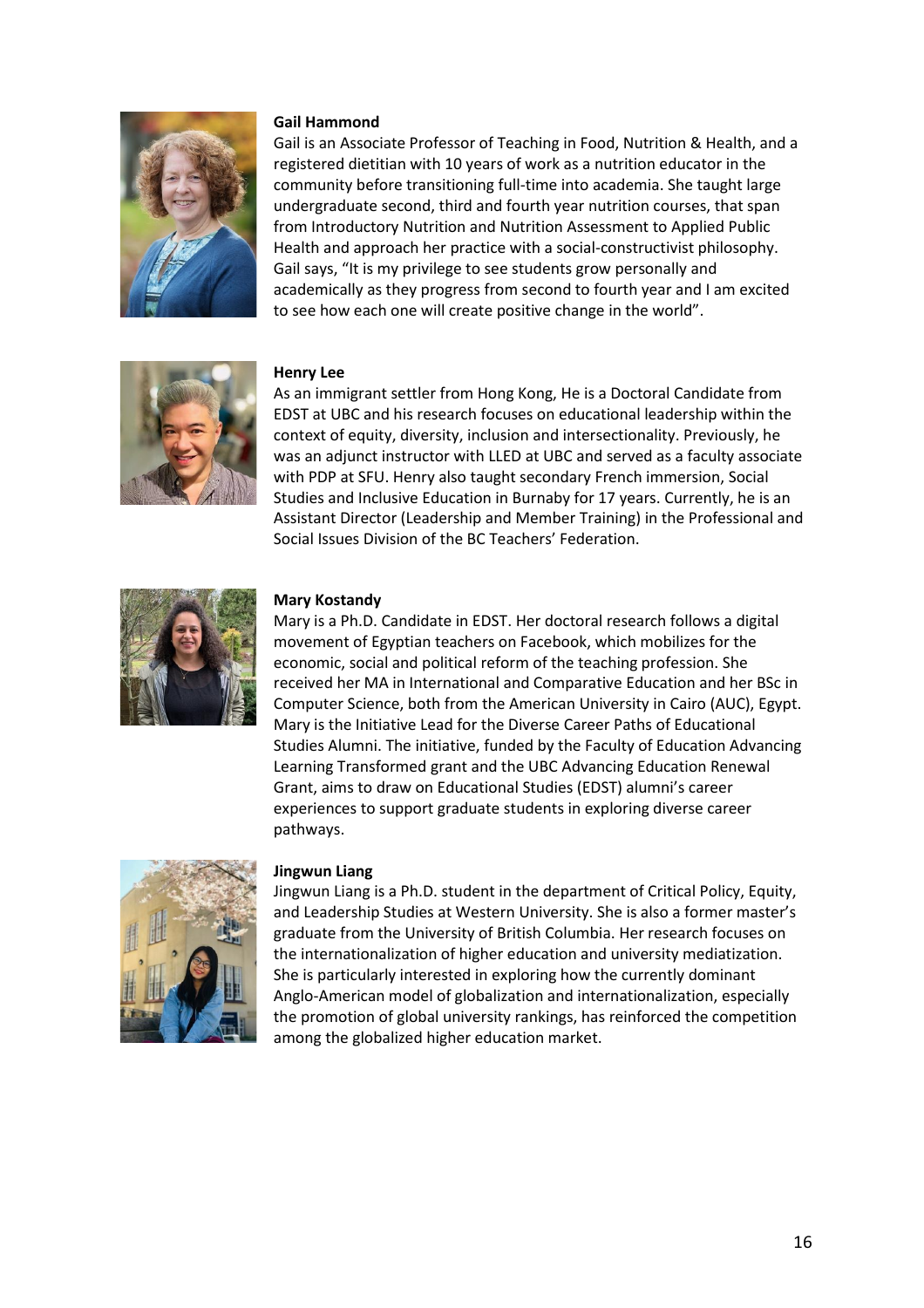

#### **Gail Hammond**

Gail is an Associate Professor of Teaching in Food, Nutrition & Health, and a registered dietitian with 10 years of work as a nutrition educator in the community before transitioning full-time into academia. She taught large undergraduate second, third and fourth year nutrition courses, that span from Introductory Nutrition and Nutrition Assessment to Applied Public Health and approach her practice with a social-constructivist philosophy. Gail says, "It is my privilege to see students grow personally and academically as they progress from second to fourth year and I am excited to see how each one will create positive change in the world".



#### **Henry Lee**

As an immigrant settler from Hong Kong, He is a Doctoral Candidate from EDST at UBC and his research focuses on educational leadership within the context of equity, diversity, inclusion and intersectionality. Previously, he was an adjunct instructor with LLED at UBC and served as a faculty associate with PDP at SFU. Henry also taught secondary French immersion, Social Studies and Inclusive Education in Burnaby for 17 years. Currently, he is an Assistant Director (Leadership and Member Training) in the Professional and Social Issues Division of the BC Teachers' Federation.



#### **Mary Kostandy**

Mary is a Ph.D. Candidate in EDST. Her doctoral research follows a digital movement of Egyptian teachers on Facebook, which mobilizes for the economic, social and political reform of the teaching profession. She received her MA in International and Comparative Education and her BSc in Computer Science, both from the American University in Cairo (AUC), Egypt. Mary is the Initiative Lead for the Diverse Career Paths of Educational Studies Alumni. The initiative, funded by the Faculty of Education Advancing Learning Transformed grant and the UBC Advancing Education Renewal Grant, aims to draw on Educational Studies (EDST) alumni's career experiences to support graduate students in exploring diverse career pathways.



#### **Jingwun Liang**

Jingwun Liang is a Ph.D. student in the department of Critical Policy, Equity, and Leadership Studies at Western University. She is also a former master's graduate from the University of British Columbia. Her research focuses on the internationalization of higher education and university mediatization. She is particularly interested in exploring how the currently dominant Anglo-American model of globalization and internationalization, especially the promotion of global university rankings, has reinforced the competition among the globalized higher education market.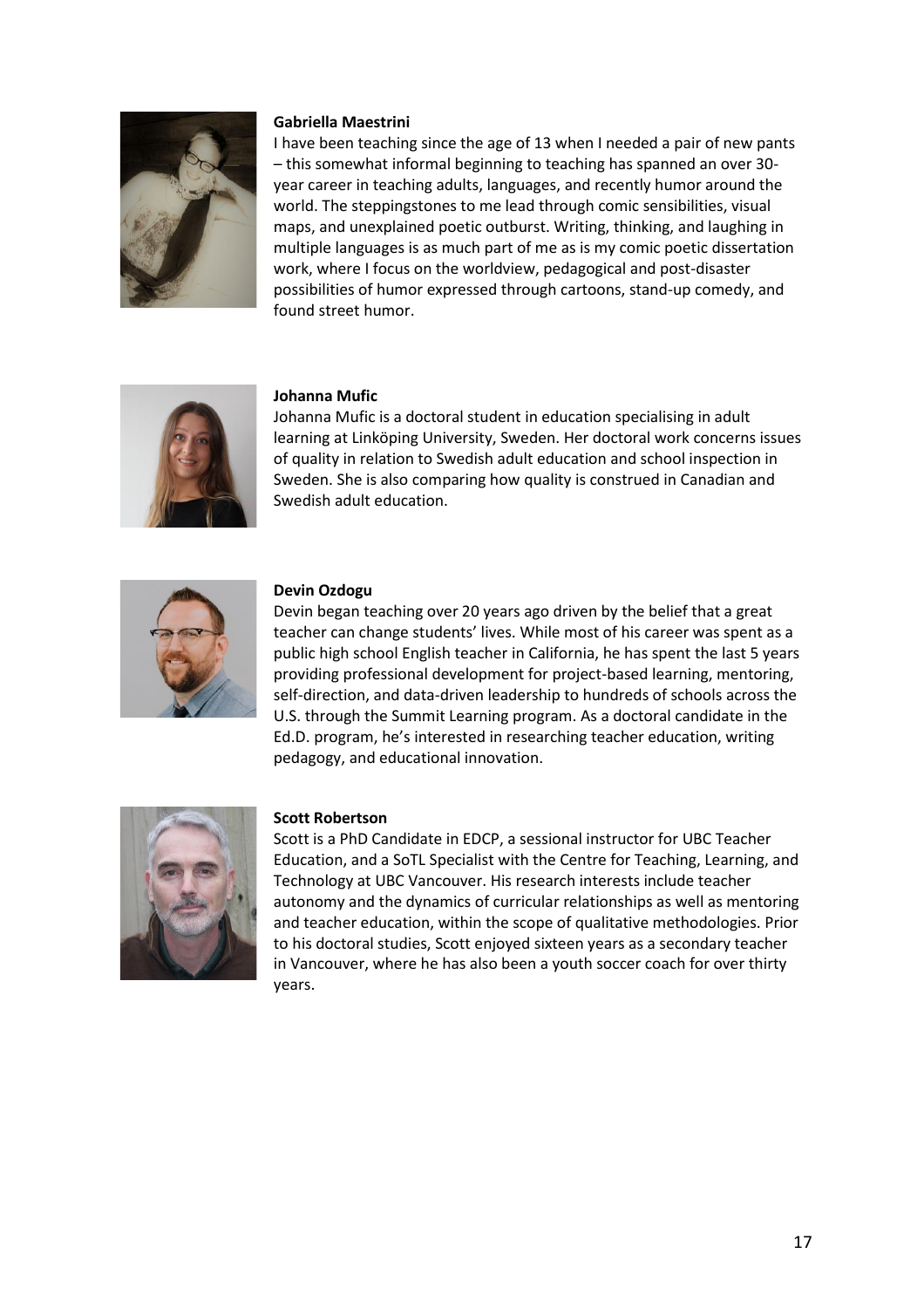

#### **Gabriella Maestrini**

I have been teaching since the age of 13 when I needed a pair of new pants – this somewhat informal beginning to teaching has spanned an over 30 year career in teaching adults, languages, and recently humor around the world. The steppingstones to me lead through comic sensibilities, visual maps, and unexplained poetic outburst. Writing, thinking, and laughing in multiple languages is as much part of me as is my comic poetic dissertation work, where I focus on the worldview, pedagogical and post-disaster possibilities of humor expressed through cartoons, stand-up comedy, and found street humor.



#### **Johanna Mufic**

Johanna Mufic is a doctoral student in education specialising in adult learning at Linköping University, Sweden. Her doctoral work concerns issues of quality in relation to Swedish adult education and school inspection in Sweden. She is also comparing how quality is construed in Canadian and Swedish adult education.



#### **Devin Ozdogu**

Devin began teaching over 20 years ago driven by the belief that a great teacher can change students' lives. While most of his career was spent as a public high school English teacher in California, he has spent the last 5 years providing professional development for project-based learning, mentoring, self-direction, and data-driven leadership to hundreds of schools across the U.S. through the Summit Learning program. As a doctoral candidate in the Ed.D. program, he's interested in researching teacher education, writing pedagogy, and educational innovation.



#### **Scott Robertson**

Scott is a PhD Candidate in EDCP, a sessional instructor for UBC Teacher Education, and a SoTL Specialist with the Centre for Teaching, Learning, and Technology at UBC Vancouver. His research interests include teacher autonomy and the dynamics of curricular relationships as well as mentoring and teacher education, within the scope of qualitative methodologies. Prior to his doctoral studies, Scott enjoyed sixteen years as a secondary teacher in Vancouver, where he has also been a youth soccer coach for over thirty years.